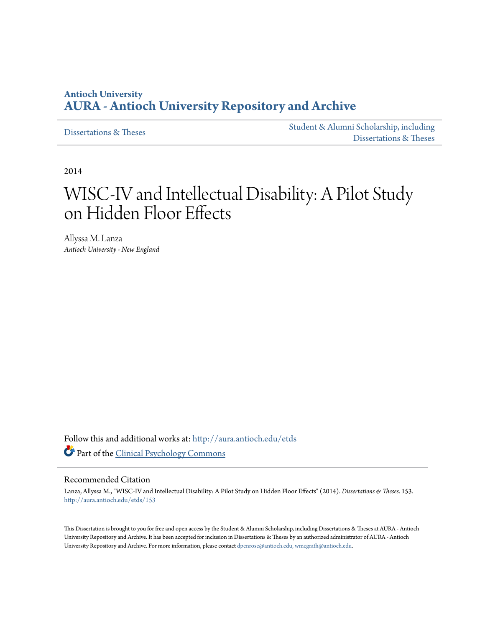### **Antioch University [AURA - Antioch University Repository and Archive](http://aura.antioch.edu?utm_source=aura.antioch.edu%2Fetds%2F153&utm_medium=PDF&utm_campaign=PDFCoverPages)**

[Dissertations & Theses](http://aura.antioch.edu/etds?utm_source=aura.antioch.edu%2Fetds%2F153&utm_medium=PDF&utm_campaign=PDFCoverPages)

[Student & Alumni Scholarship, including](http://aura.antioch.edu/stuscholar?utm_source=aura.antioch.edu%2Fetds%2F153&utm_medium=PDF&utm_campaign=PDFCoverPages) [Dissertations & Theses](http://aura.antioch.edu/stuscholar?utm_source=aura.antioch.edu%2Fetds%2F153&utm_medium=PDF&utm_campaign=PDFCoverPages)

2014

# WISC-IV and Intellectual Disability: A Pilot Study on Hidden Floor Effects

Allyssa M. Lanza *Antioch University - New England*

Follow this and additional works at: [http://aura.antioch.edu/etds](http://aura.antioch.edu/etds?utm_source=aura.antioch.edu%2Fetds%2F153&utm_medium=PDF&utm_campaign=PDFCoverPages) Part of the [Clinical Psychology Commons](http://network.bepress.com/hgg/discipline/406?utm_source=aura.antioch.edu%2Fetds%2F153&utm_medium=PDF&utm_campaign=PDFCoverPages)

#### Recommended Citation

Lanza, Allyssa M., "WISC-IV and Intellectual Disability: A Pilot Study on Hidden Floor Effects" (2014). *Dissertations & Theses*. 153. [http://aura.antioch.edu/etds/153](http://aura.antioch.edu/etds/153?utm_source=aura.antioch.edu%2Fetds%2F153&utm_medium=PDF&utm_campaign=PDFCoverPages)

This Dissertation is brought to you for free and open access by the Student & Alumni Scholarship, including Dissertations & Theses at AURA - Antioch University Repository and Archive. It has been accepted for inclusion in Dissertations & Theses by an authorized administrator of AURA - Antioch University Repository and Archive. For more information, please contact [dpenrose@antioch.edu, wmcgrath@antioch.edu](mailto:dpenrose@antioch.edu,%20wmcgrath@antioch.edu).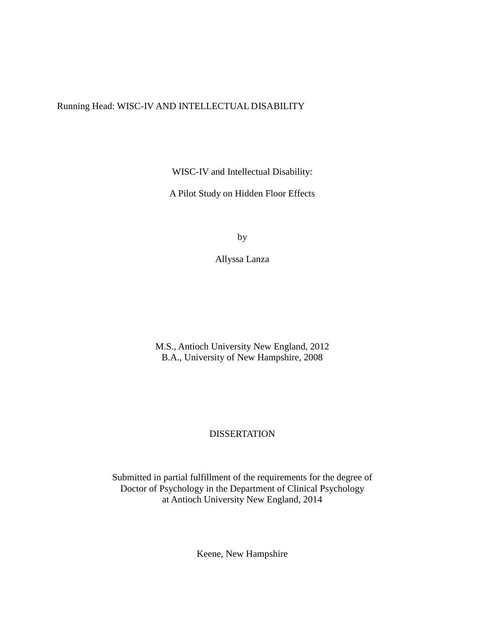### Running Head: WISC-IV AND INTELLECTUAL DISABILITY

WISC-IV and Intellectual Disability:

A Pilot Study on Hidden Floor Effects

by

Allyssa Lanza

M.S., Antioch University New England, 2012 B.A., University of New Hampshire, 2008

### DISSERTATION

Submitted in partial fulfillment of the requirements for the degree of Doctor of Psychology in the Department of Clinical Psychology at Antioch University New England, 2014

Keene, New Hampshire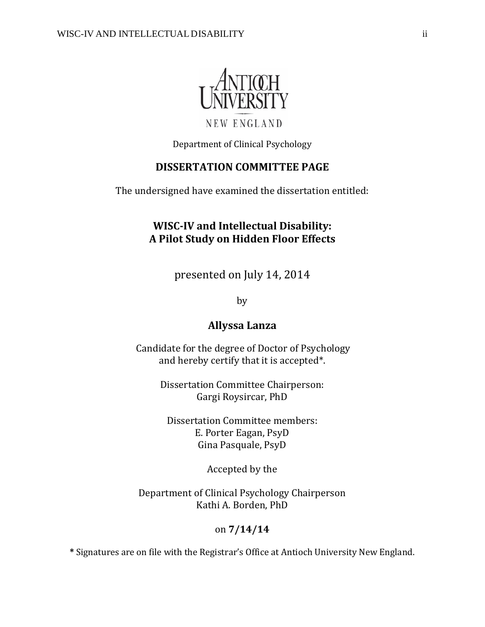

NEW ENGLAND

Department of Clinical Psychology

### **DISSERTATION COMMITTEE PAGE**

The undersigned have examined the dissertation entitled:

### **WISC-IV and Intellectual Disability: A Pilot Study on Hidden Floor Effects**

presented on July 14, 2014

by

### **Allyssa Lanza**

Candidate for the degree of Doctor of Psychology and hereby certify that it is accepted\*.

> Dissertation Committee Chairperson: Gargi Roysircar, PhD

Dissertation Committee members: E. Porter Eagan, PsyD Gina Pasquale, PsyD

Accepted by the

Department of Clinical Psychology Chairperson Kathi A. Borden, PhD

### on **7/14/14**

**\*** Signatures are on file with the Registrar's Office at Antioch University New England.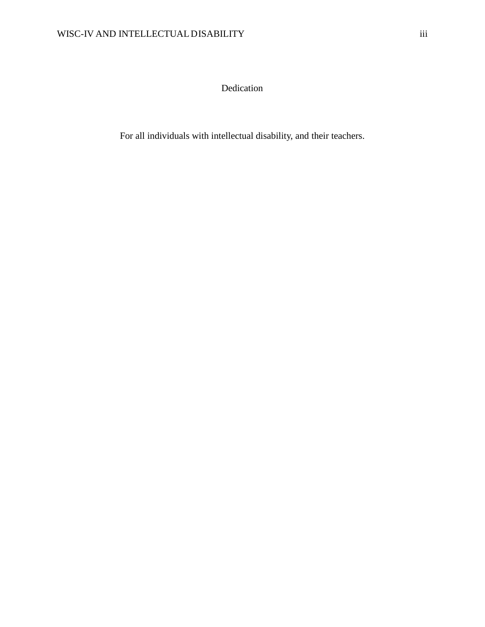Dedication

For all individuals with intellectual disability, and their teachers.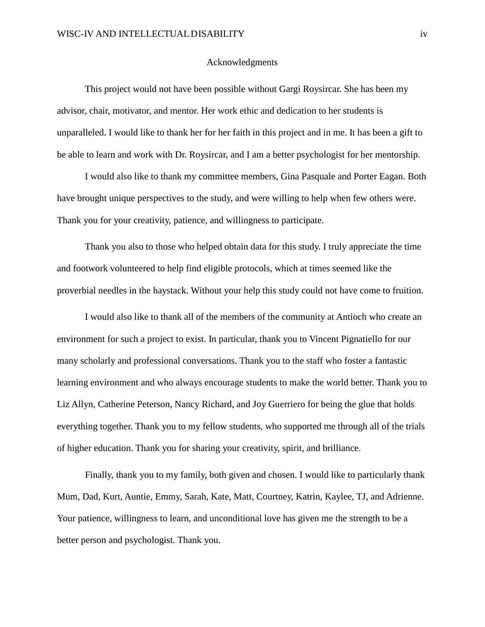#### Acknowledgments

This project would not have been possible without Gargi Roysircar. She has been my advisor, chair, motivator, and mentor. Her work ethic and dedication to her students is unparalleled. I would like to thank her for her faith in this project and in me. It has been a gift to be able to learn and work with Dr. Roysircar, and I am a better psychologist for her mentorship.

I would also like to thank my committee members, Gina Pasquale and Porter Eagan. Both have brought unique perspectives to the study, and were willing to help when few others were. Thank you for your creativity, patience, and willingness to participate.

Thank you also to those who helped obtain data for this study. I truly appreciate the time and footwork volunteered to help find eligible protocols, which at times seemed like the proverbial needles in the haystack. Without your help this study could not have come to fruition.

I would also like to thank all of the members of the community at Antioch who create an environment for such a project to exist. In particular, thank you to Vincent Pignatiello for our many scholarly and professional conversations. Thank you to the staff who foster a fantastic learning environment and who always encourage students to make the world better. Thank you to Liz Allyn, Catherine Peterson, Nancy Richard, and Joy Guerriero for being the glue that holds everything together. Thank you to my fellow students, who supported me through all of the trials of higher education. Thank you for sharing your creativity, spirit, and brilliance.

Finally, thank you to my family, both given and chosen. I would like to particularly thank Mum, Dad, Kurt, Auntie, Emmy, Sarah, Kate, Matt, Courtney, Katrin, Kaylee, TJ, and Adrienne. Your patience, willingness to learn, and unconditional love has given me the strength to be a better person and psychologist. Thank you.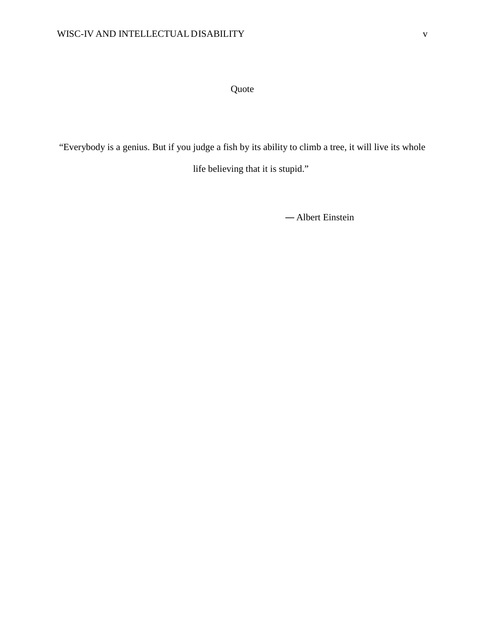Quote

"Everybody is a genius. But if you judge a fish by its ability to climb a tree, it will live its whole

life believing that it is stupid."

― Albert Einstein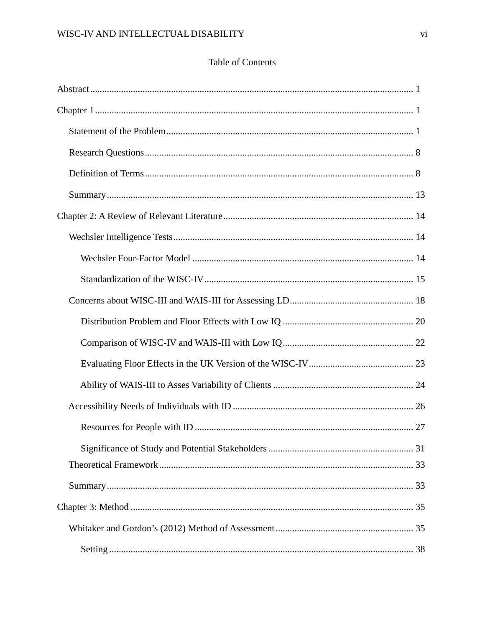### **Table of Contents**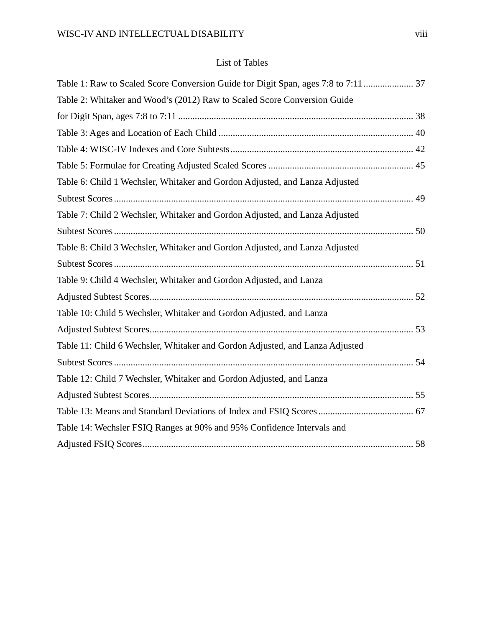### List of Tables

| Table 2: Whitaker and Wood's (2012) Raw to Scaled Score Conversion Guide     |
|------------------------------------------------------------------------------|
|                                                                              |
|                                                                              |
|                                                                              |
|                                                                              |
| Table 6: Child 1 Wechsler, Whitaker and Gordon Adjusted, and Lanza Adjusted  |
|                                                                              |
| Table 7: Child 2 Wechsler, Whitaker and Gordon Adjusted, and Lanza Adjusted  |
|                                                                              |
| Table 8: Child 3 Wechsler, Whitaker and Gordon Adjusted, and Lanza Adjusted  |
|                                                                              |
| Table 9: Child 4 Wechsler, Whitaker and Gordon Adjusted, and Lanza           |
|                                                                              |
| Table 10: Child 5 Wechsler, Whitaker and Gordon Adjusted, and Lanza          |
|                                                                              |
| Table 11: Child 6 Wechsler, Whitaker and Gordon Adjusted, and Lanza Adjusted |
|                                                                              |
| Table 12: Child 7 Wechsler, Whitaker and Gordon Adjusted, and Lanza          |
|                                                                              |
|                                                                              |
| Table 14: Wechsler FSIQ Ranges at 90% and 95% Confidence Intervals and       |
|                                                                              |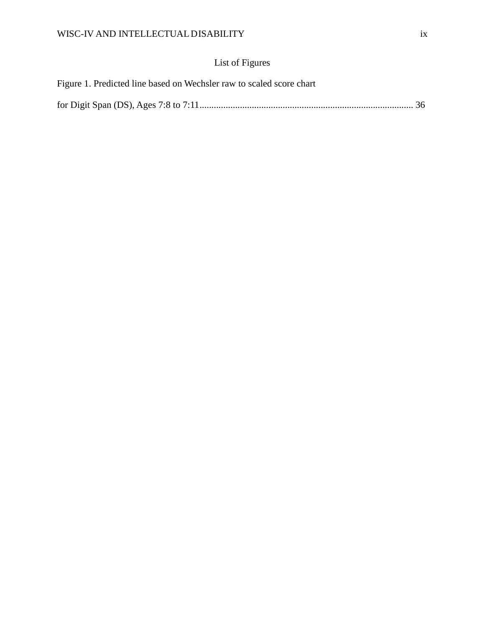## List of Figures

| Figure 1. Predicted line based on Wechsler raw to scaled score chart |  |
|----------------------------------------------------------------------|--|
|                                                                      |  |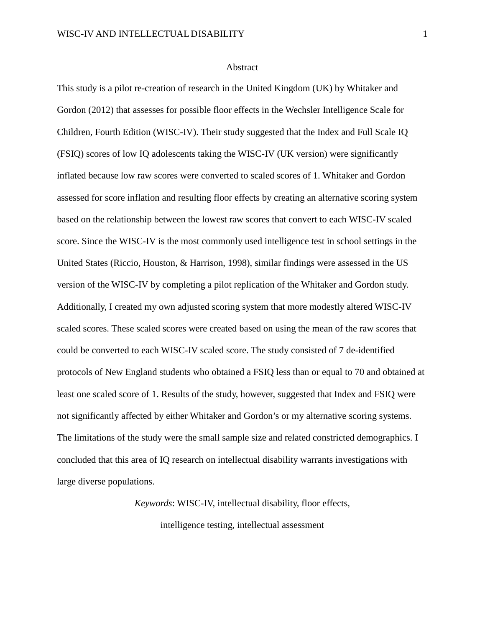#### Abstract

This study is a pilot re-creation of research in the United Kingdom (UK) by Whitaker and Gordon (2012) that assesses for possible floor effects in the Wechsler Intelligence Scale for Children, Fourth Edition (WISC-IV). Their study suggested that the Index and Full Scale IQ (FSIQ) scores of low IQ adolescents taking the WISC-IV (UK version) were significantly inflated because low raw scores were converted to scaled scores of 1. Whitaker and Gordon assessed for score inflation and resulting floor effects by creating an alternative scoring system based on the relationship between the lowest raw scores that convert to each WISC-IV scaled score. Since the WISC-IV is the most commonly used intelligence test in school settings in the United States (Riccio, Houston, & Harrison, 1998), similar findings were assessed in the US version of the WISC-IV by completing a pilot replication of the Whitaker and Gordon study. Additionally, I created my own adjusted scoring system that more modestly altered WISC-IV scaled scores. These scaled scores were created based on using the mean of the raw scores that could be converted to each WISC-IV scaled score. The study consisted of 7 de-identified protocols of New England students who obtained a FSIQ less than or equal to 70 and obtained at least one scaled score of 1. Results of the study, however, suggested that Index and FSIQ were not significantly affected by either Whitaker and Gordon's or my alternative scoring systems. The limitations of the study were the small sample size and related constricted demographics. I concluded that this area of IQ research on intellectual disability warrants investigations with large diverse populations.

> *Keywords*: WISC-IV, intellectual disability, floor effects, intelligence testing, intellectual assessment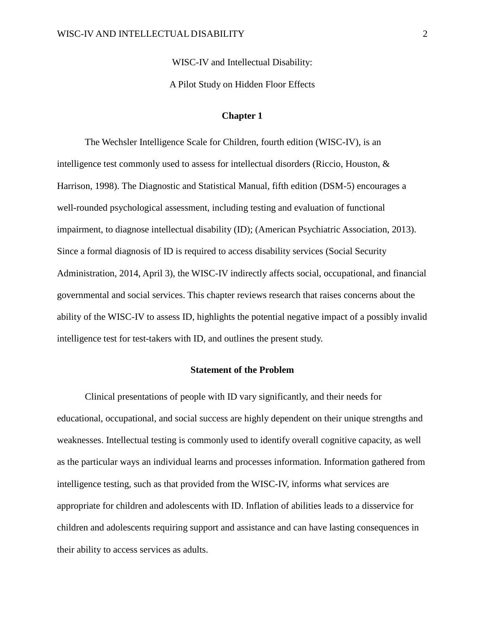WISC-IV and Intellectual Disability:

A Pilot Study on Hidden Floor Effects

#### **Chapter 1**

The Wechsler Intelligence Scale for Children, fourth edition (WISC-IV), is an intelligence test commonly used to assess for intellectual disorders (Riccio, Houston, & Harrison, 1998). The Diagnostic and Statistical Manual, fifth edition (DSM-5) encourages a well-rounded psychological assessment, including testing and evaluation of functional impairment, to diagnose intellectual disability (ID); (American Psychiatric Association, 2013). Since a formal diagnosis of ID is required to access disability services (Social Security Administration, 2014, April 3), the WISC-IV indirectly affects social, occupational, and financial governmental and social services. This chapter reviews research that raises concerns about the ability of the WISC-IV to assess ID, highlights the potential negative impact of a possibly invalid intelligence test for test-takers with ID, and outlines the present study.

### **Statement of the Problem**

Clinical presentations of people with ID vary significantly, and their needs for educational, occupational, and social success are highly dependent on their unique strengths and weaknesses. Intellectual testing is commonly used to identify overall cognitive capacity, as well as the particular ways an individual learns and processes information. Information gathered from intelligence testing, such as that provided from the WISC-IV, informs what services are appropriate for children and adolescents with ID. Inflation of abilities leads to a disservice for children and adolescents requiring support and assistance and can have lasting consequences in their ability to access services as adults.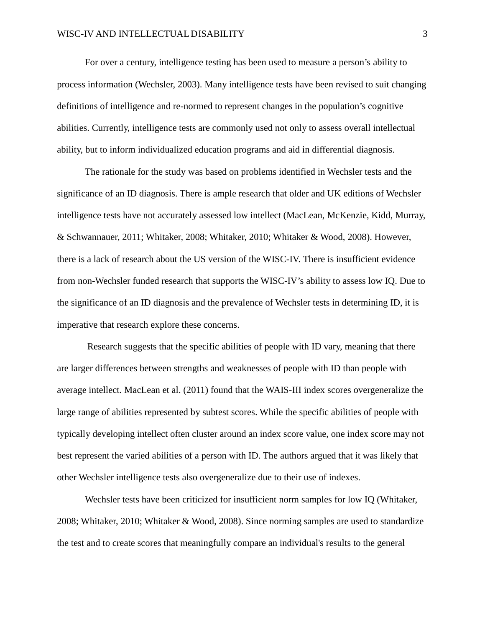For over a century, intelligence testing has been used to measure a person's ability to process information (Wechsler, 2003). Many intelligence tests have been revised to suit changing definitions of intelligence and re-normed to represent changes in the population's cognitive abilities. Currently, intelligence tests are commonly used not only to assess overall intellectual ability, but to inform individualized education programs and aid in differential diagnosis.

The rationale for the study was based on problems identified in Wechsler tests and the significance of an ID diagnosis. There is ample research that older and UK editions of Wechsler intelligence tests have not accurately assessed low intellect (MacLean, McKenzie, Kidd, Murray, & Schwannauer, 2011; Whitaker, 2008; Whitaker, 2010; Whitaker & Wood, 2008). However, there is a lack of research about the US version of the WISC-IV. There is insufficient evidence from non-Wechsler funded research that supports the WISC-IV's ability to assess low IQ. Due to the significance of an ID diagnosis and the prevalence of Wechsler tests in determining ID, it is imperative that research explore these concerns.

Research suggests that the specific abilities of people with ID vary, meaning that there are larger differences between strengths and weaknesses of people with ID than people with average intellect. MacLean et al. (2011) found that the WAIS-III index scores overgeneralize the large range of abilities represented by subtest scores. While the specific abilities of people with typically developing intellect often cluster around an index score value, one index score may not best represent the varied abilities of a person with ID. The authors argued that it was likely that other Wechsler intelligence tests also overgeneralize due to their use of indexes.

Wechsler tests have been criticized for insufficient norm samples for low IQ (Whitaker, 2008; Whitaker, 2010; Whitaker & Wood, 2008). Since norming samples are used to standardize the test and to create scores that meaningfully compare an individual's results to the general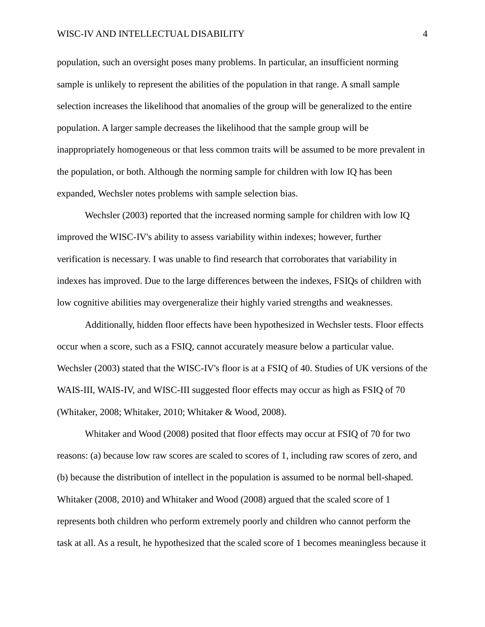population, such an oversight poses many problems. In particular, an insufficient norming sample is unlikely to represent the abilities of the population in that range. A small sample selection increases the likelihood that anomalies of the group will be generalized to the entire population. A larger sample decreases the likelihood that the sample group will be inappropriately homogeneous or that less common traits will be assumed to be more prevalent in the population, or both. Although the norming sample for children with low IQ has been expanded, Wechsler notes problems with sample selection bias.

Wechsler (2003) reported that the increased norming sample for children with low IQ improved the WISC-IV's ability to assess variability within indexes; however, further verification is necessary. I was unable to find research that corroborates that variability in indexes has improved. Due to the large differences between the indexes, FSIQs of children with low cognitive abilities may overgeneralize their highly varied strengths and weaknesses.

Additionally, hidden floor effects have been hypothesized in Wechsler tests. Floor effects occur when a score, such as a FSIQ, cannot accurately measure below a particular value. Wechsler (2003) stated that the WISC-IV's floor is at a FSIQ of 40. Studies of UK versions of the WAIS-III, WAIS-IV, and WISC-III suggested floor effects may occur as high as FSIQ of 70 (Whitaker, 2008; Whitaker, 2010; Whitaker & Wood, 2008).

Whitaker and Wood (2008) posited that floor effects may occur at FSIQ of 70 for two reasons: (a) because low raw scores are scaled to scores of 1, including raw scores of zero, and (b) because the distribution of intellect in the population is assumed to be normal bell-shaped. Whitaker (2008, 2010) and Whitaker and Wood (2008) argued that the scaled score of 1 represents both children who perform extremely poorly and children who cannot perform the task at all. As a result, he hypothesized that the scaled score of 1 becomes meaningless because it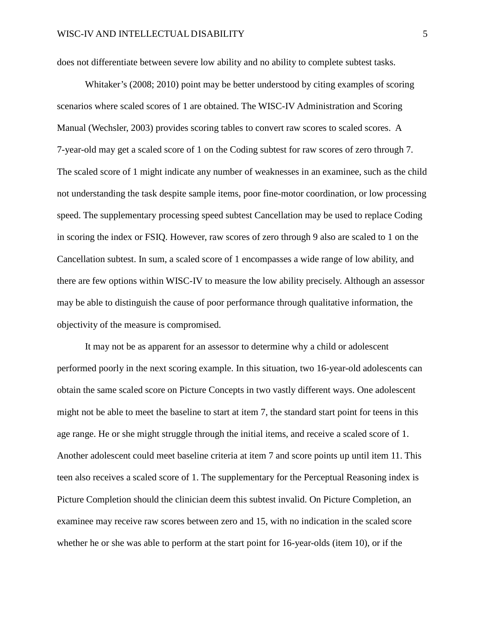does not differentiate between severe low ability and no ability to complete subtest tasks.

Whitaker's (2008; 2010) point may be better understood by citing examples of scoring scenarios where scaled scores of 1 are obtained. The WISC-IV Administration and Scoring Manual (Wechsler, 2003) provides scoring tables to convert raw scores to scaled scores. A 7-year-old may get a scaled score of 1 on the Coding subtest for raw scores of zero through 7. The scaled score of 1 might indicate any number of weaknesses in an examinee, such as the child not understanding the task despite sample items, poor fine-motor coordination, or low processing speed. The supplementary processing speed subtest Cancellation may be used to replace Coding in scoring the index or FSIQ. However, raw scores of zero through 9 also are scaled to 1 on the Cancellation subtest. In sum, a scaled score of 1 encompasses a wide range of low ability, and there are few options within WISC-IV to measure the low ability precisely. Although an assessor may be able to distinguish the cause of poor performance through qualitative information, the objectivity of the measure is compromised.

It may not be as apparent for an assessor to determine why a child or adolescent performed poorly in the next scoring example. In this situation, two 16-year-old adolescents can obtain the same scaled score on Picture Concepts in two vastly different ways. One adolescent might not be able to meet the baseline to start at item 7, the standard start point for teens in this age range. He or she might struggle through the initial items, and receive a scaled score of 1. Another adolescent could meet baseline criteria at item 7 and score points up until item 11. This teen also receives a scaled score of 1. The supplementary for the Perceptual Reasoning index is Picture Completion should the clinician deem this subtest invalid. On Picture Completion, an examinee may receive raw scores between zero and 15, with no indication in the scaled score whether he or she was able to perform at the start point for 16-year-olds (item 10), or if the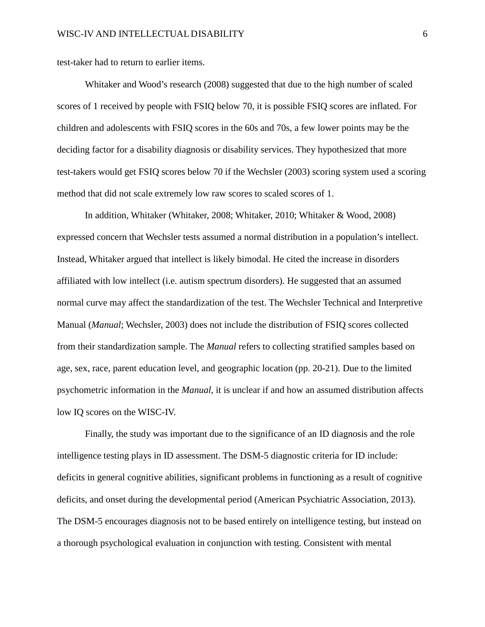test-taker had to return to earlier items.

Whitaker and Wood's research (2008) suggested that due to the high number of scaled scores of 1 received by people with FSIQ below 70, it is possible FSIQ scores are inflated. For children and adolescents with FSIQ scores in the 60s and 70s, a few lower points may be the deciding factor for a disability diagnosis or disability services. They hypothesized that more test-takers would get FSIQ scores below 70 if the Wechsler (2003) scoring system used a scoring method that did not scale extremely low raw scores to scaled scores of 1.

In addition, Whitaker (Whitaker, 2008; Whitaker, 2010; Whitaker & Wood, 2008) expressed concern that Wechsler tests assumed a normal distribution in a population's intellect. Instead, Whitaker argued that intellect is likely bimodal. He cited the increase in disorders affiliated with low intellect (i.e. autism spectrum disorders). He suggested that an assumed normal curve may affect the standardization of the test. The Wechsler Technical and Interpretive Manual (*Manual*; Wechsler, 2003) does not include the distribution of FSIQ scores collected from their standardization sample. The *Manual* refers to collecting stratified samples based on age, sex, race, parent education level, and geographic location (pp. 20-21). Due to the limited psychometric information in the *Manual*, it is unclear if and how an assumed distribution affects low IQ scores on the WISC-IV.

Finally, the study was important due to the significance of an ID diagnosis and the role intelligence testing plays in ID assessment. The DSM-5 diagnostic criteria for ID include: deficits in general cognitive abilities, significant problems in functioning as a result of cognitive deficits, and onset during the developmental period (American Psychiatric Association, 2013). The DSM-5 encourages diagnosis not to be based entirely on intelligence testing, but instead on a thorough psychological evaluation in conjunction with testing. Consistent with mental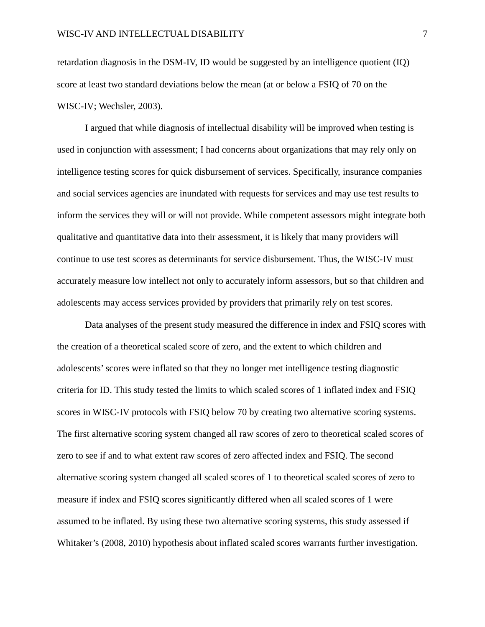retardation diagnosis in the DSM-IV, ID would be suggested by an intelligence quotient (IQ) score at least two standard deviations below the mean (at or below a FSIQ of 70 on the WISC-IV; Wechsler, 2003).

I argued that while diagnosis of intellectual disability will be improved when testing is used in conjunction with assessment; I had concerns about organizations that may rely only on intelligence testing scores for quick disbursement of services. Specifically, insurance companies and social services agencies are inundated with requests for services and may use test results to inform the services they will or will not provide. While competent assessors might integrate both qualitative and quantitative data into their assessment, it is likely that many providers will continue to use test scores as determinants for service disbursement. Thus, the WISC-IV must accurately measure low intellect not only to accurately inform assessors, but so that children and adolescents may access services provided by providers that primarily rely on test scores.

Data analyses of the present study measured the difference in index and FSIQ scores with the creation of a theoretical scaled score of zero, and the extent to which children and adolescents' scores were inflated so that they no longer met intelligence testing diagnostic criteria for ID. This study tested the limits to which scaled scores of 1 inflated index and FSIQ scores in WISC-IV protocols with FSIQ below 70 by creating two alternative scoring systems. The first alternative scoring system changed all raw scores of zero to theoretical scaled scores of zero to see if and to what extent raw scores of zero affected index and FSIQ. The second alternative scoring system changed all scaled scores of 1 to theoretical scaled scores of zero to measure if index and FSIQ scores significantly differed when all scaled scores of 1 were assumed to be inflated. By using these two alternative scoring systems, this study assessed if Whitaker's (2008, 2010) hypothesis about inflated scaled scores warrants further investigation.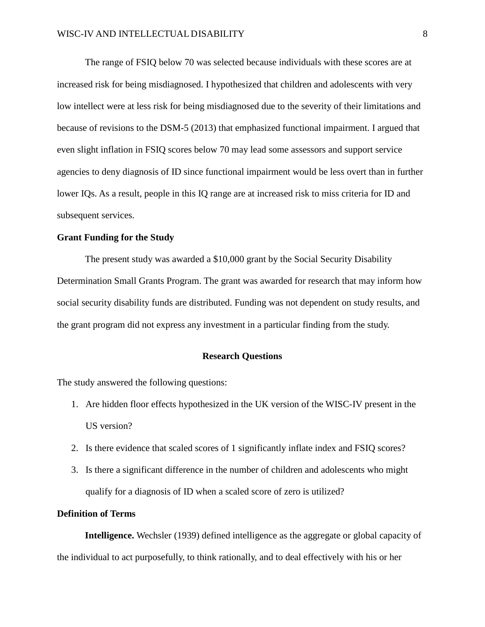The range of FSIQ below 70 was selected because individuals with these scores are at increased risk for being misdiagnosed. I hypothesized that children and adolescents with very low intellect were at less risk for being misdiagnosed due to the severity of their limitations and because of revisions to the DSM-5 (2013) that emphasized functional impairment. I argued that even slight inflation in FSIQ scores below 70 may lead some assessors and support service agencies to deny diagnosis of ID since functional impairment would be less overt than in further lower IQs. As a result, people in this IQ range are at increased risk to miss criteria for ID and subsequent services.

#### **Grant Funding for the Study**

The present study was awarded a \$10,000 grant by the Social Security Disability Determination Small Grants Program. The grant was awarded for research that may inform how social security disability funds are distributed. Funding was not dependent on study results, and the grant program did not express any investment in a particular finding from the study.

#### **Research Questions**

The study answered the following questions:

- 1. Are hidden floor effects hypothesized in the UK version of the WISC-IV present in the US version?
- 2. Is there evidence that scaled scores of 1 significantly inflate index and FSIQ scores?
- 3. Is there a significant difference in the number of children and adolescents who might qualify for a diagnosis of ID when a scaled score of zero is utilized?

#### **Definition of Terms**

**Intelligence.** Wechsler (1939) defined intelligence as the aggregate or global capacity of the individual to act purposefully, to think rationally, and to deal effectively with his or her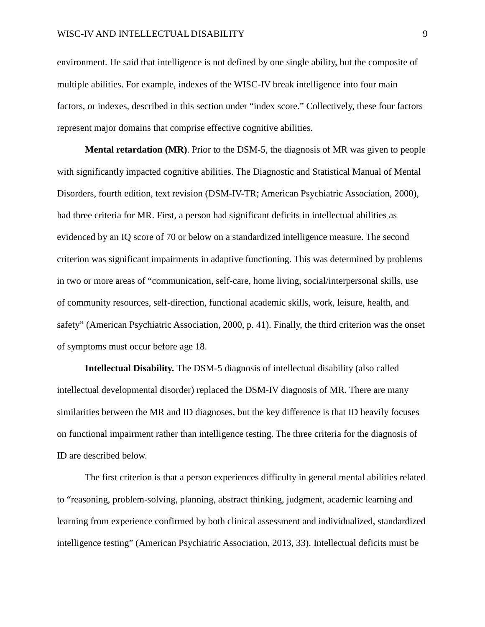environment. He said that intelligence is not defined by one single ability, but the composite of multiple abilities. For example, indexes of the WISC-IV break intelligence into four main factors, or indexes, described in this section under "index score." Collectively, these four factors represent major domains that comprise effective cognitive abilities.

**Mental retardation (MR)**. Prior to the DSM-5, the diagnosis of MR was given to people with significantly impacted cognitive abilities. The Diagnostic and Statistical Manual of Mental Disorders, fourth edition, text revision (DSM-IV-TR; American Psychiatric Association, 2000), had three criteria for MR. First, a person had significant deficits in intellectual abilities as evidenced by an IQ score of 70 or below on a standardized intelligence measure. The second criterion was significant impairments in adaptive functioning. This was determined by problems in two or more areas of "communication, self-care, home living, social/interpersonal skills, use of community resources, self-direction, functional academic skills, work, leisure, health, and safety" (American Psychiatric Association, 2000, p. 41). Finally, the third criterion was the onset of symptoms must occur before age 18.

**Intellectual Disability.** The DSM-5 diagnosis of intellectual disability (also called intellectual developmental disorder) replaced the DSM-IV diagnosis of MR. There are many similarities between the MR and ID diagnoses, but the key difference is that ID heavily focuses on functional impairment rather than intelligence testing. The three criteria for the diagnosis of ID are described below.

The first criterion is that a person experiences difficulty in general mental abilities related to "reasoning, problem-solving, planning, abstract thinking, judgment, academic learning and learning from experience confirmed by both clinical assessment and individualized, standardized intelligence testing" (American Psychiatric Association, 2013, 33). Intellectual deficits must be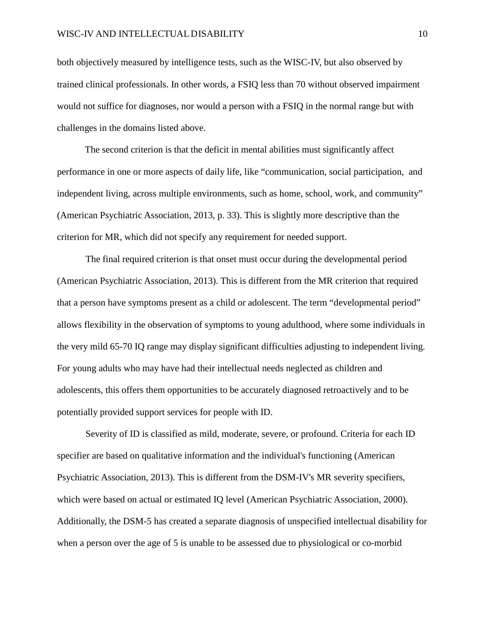both objectively measured by intelligence tests, such as the WISC-IV, but also observed by trained clinical professionals. In other words, a FSIQ less than 70 without observed impairment would not suffice for diagnoses, nor would a person with a FSIQ in the normal range but with challenges in the domains listed above.

The second criterion is that the deficit in mental abilities must significantly affect performance in one or more aspects of daily life, like "communication, social participation, and independent living, across multiple environments, such as home, school, work, and community" (American Psychiatric Association, 2013, p. 33). This is slightly more descriptive than the criterion for MR, which did not specify any requirement for needed support.

The final required criterion is that onset must occur during the developmental period (American Psychiatric Association, 2013). This is different from the MR criterion that required that a person have symptoms present as a child or adolescent. The term "developmental period" allows flexibility in the observation of symptoms to young adulthood, where some individuals in the very mild 65-70 IQ range may display significant difficulties adjusting to independent living. For young adults who may have had their intellectual needs neglected as children and adolescents, this offers them opportunities to be accurately diagnosed retroactively and to be potentially provided support services for people with ID.

Severity of ID is classified as mild, moderate, severe, or profound. Criteria for each ID specifier are based on qualitative information and the individual's functioning (American Psychiatric Association, 2013). This is different from the DSM-IV's MR severity specifiers, which were based on actual or estimated IQ level (American Psychiatric Association, 2000). Additionally, the DSM-5 has created a separate diagnosis of unspecified intellectual disability for when a person over the age of 5 is unable to be assessed due to physiological or co-morbid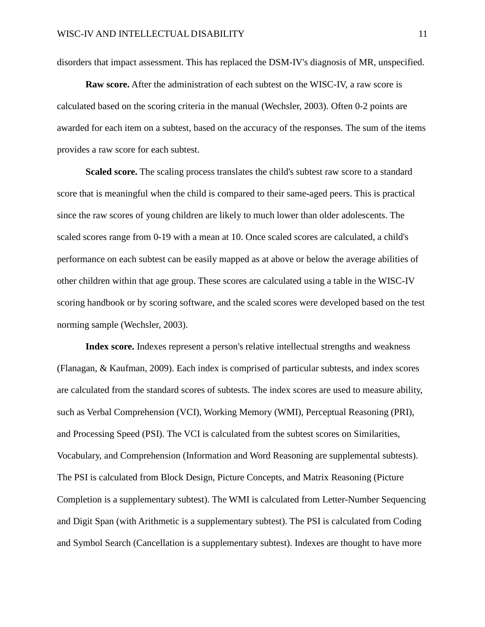disorders that impact assessment. This has replaced the DSM-IV's diagnosis of MR, unspecified.

**Raw score.** After the administration of each subtest on the WISC-IV, a raw score is calculated based on the scoring criteria in the manual (Wechsler, 2003). Often 0-2 points are awarded for each item on a subtest, based on the accuracy of the responses. The sum of the items provides a raw score for each subtest.

**Scaled score.** The scaling process translates the child's subtest raw score to a standard score that is meaningful when the child is compared to their same-aged peers. This is practical since the raw scores of young children are likely to much lower than older adolescents. The scaled scores range from 0-19 with a mean at 10. Once scaled scores are calculated, a child's performance on each subtest can be easily mapped as at above or below the average abilities of other children within that age group. These scores are calculated using a table in the WISC-IV scoring handbook or by scoring software, and the scaled scores were developed based on the test norming sample (Wechsler, 2003).

**Index score.** Indexes represent a person's relative intellectual strengths and weakness (Flanagan, & Kaufman, 2009). Each index is comprised of particular subtests, and index scores are calculated from the standard scores of subtests. The index scores are used to measure ability, such as Verbal Comprehension (VCI), Working Memory (WMI), Perceptual Reasoning (PRI), and Processing Speed (PSI). The VCI is calculated from the subtest scores on Similarities, Vocabulary, and Comprehension (Information and Word Reasoning are supplemental subtests). The PSI is calculated from Block Design, Picture Concepts, and Matrix Reasoning (Picture Completion is a supplementary subtest). The WMI is calculated from Letter-Number Sequencing and Digit Span (with Arithmetic is a supplementary subtest). The PSI is calculated from Coding and Symbol Search (Cancellation is a supplementary subtest). Indexes are thought to have more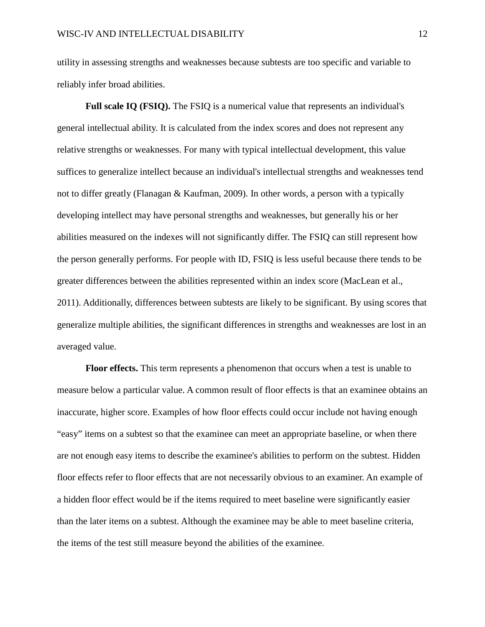utility in assessing strengths and weaknesses because subtests are too specific and variable to reliably infer broad abilities.

**Full scale IQ (FSIQ).** The FSIQ is a numerical value that represents an individual's general intellectual ability. It is calculated from the index scores and does not represent any relative strengths or weaknesses. For many with typical intellectual development, this value suffices to generalize intellect because an individual's intellectual strengths and weaknesses tend not to differ greatly (Flanagan & Kaufman, 2009). In other words, a person with a typically developing intellect may have personal strengths and weaknesses, but generally his or her abilities measured on the indexes will not significantly differ. The FSIQ can still represent how the person generally performs. For people with ID, FSIQ is less useful because there tends to be greater differences between the abilities represented within an index score (MacLean et al., 2011). Additionally, differences between subtests are likely to be significant. By using scores that generalize multiple abilities, the significant differences in strengths and weaknesses are lost in an averaged value.

**Floor effects.** This term represents a phenomenon that occurs when a test is unable to measure below a particular value. A common result of floor effects is that an examinee obtains an inaccurate, higher score. Examples of how floor effects could occur include not having enough "easy" items on a subtest so that the examinee can meet an appropriate baseline, or when there are not enough easy items to describe the examinee's abilities to perform on the subtest. Hidden floor effects refer to floor effects that are not necessarily obvious to an examiner. An example of a hidden floor effect would be if the items required to meet baseline were significantly easier than the later items on a subtest. Although the examinee may be able to meet baseline criteria, the items of the test still measure beyond the abilities of the examinee.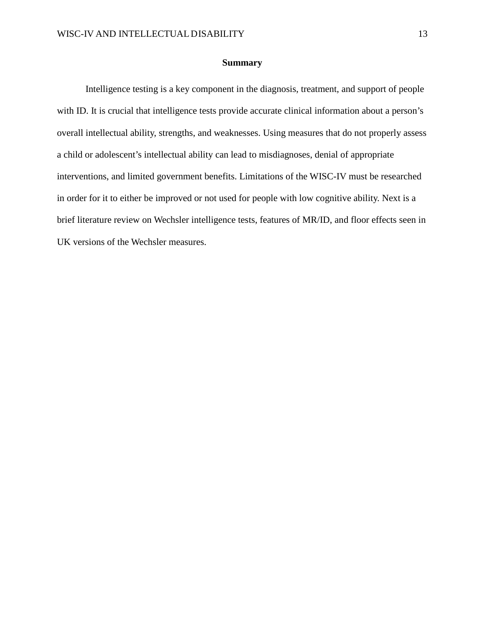#### **Summary**

Intelligence testing is a key component in the diagnosis, treatment, and support of people with ID. It is crucial that intelligence tests provide accurate clinical information about a person's overall intellectual ability, strengths, and weaknesses. Using measures that do not properly assess a child or adolescent's intellectual ability can lead to misdiagnoses, denial of appropriate interventions, and limited government benefits. Limitations of the WISC-IV must be researched in order for it to either be improved or not used for people with low cognitive ability. Next is a brief literature review on Wechsler intelligence tests, features of MR/ID, and floor effects seen in UK versions of the Wechsler measures.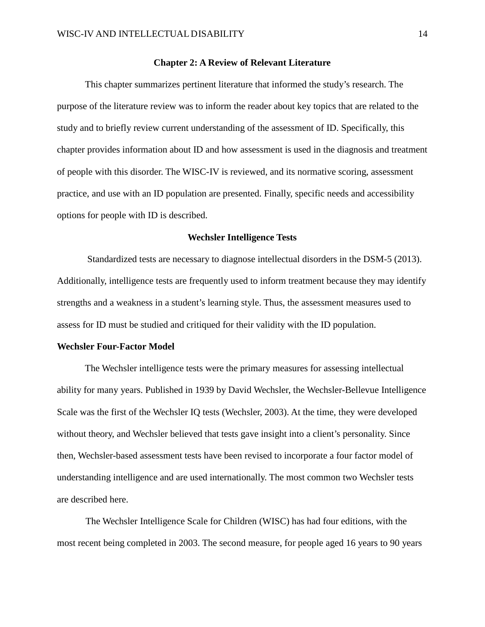#### **Chapter 2: A Review of Relevant Literature**

This chapter summarizes pertinent literature that informed the study's research. The purpose of the literature review was to inform the reader about key topics that are related to the study and to briefly review current understanding of the assessment of ID. Specifically, this chapter provides information about ID and how assessment is used in the diagnosis and treatment of people with this disorder. The WISC-IV is reviewed, and its normative scoring, assessment practice, and use with an ID population are presented. Finally, specific needs and accessibility options for people with ID is described.

#### **Wechsler Intelligence Tests**

Standardized tests are necessary to diagnose intellectual disorders in the DSM-5 (2013). Additionally, intelligence tests are frequently used to inform treatment because they may identify strengths and a weakness in a student's learning style. Thus, the assessment measures used to assess for ID must be studied and critiqued for their validity with the ID population.

#### **Wechsler Four-Factor Model**

The Wechsler intelligence tests were the primary measures for assessing intellectual ability for many years. Published in 1939 by David Wechsler, the Wechsler-Bellevue Intelligence Scale was the first of the Wechsler IQ tests (Wechsler, 2003). At the time, they were developed without theory, and Wechsler believed that tests gave insight into a client's personality. Since then, Wechsler-based assessment tests have been revised to incorporate a four factor model of understanding intelligence and are used internationally. The most common two Wechsler tests are described here.

The Wechsler Intelligence Scale for Children (WISC) has had four editions, with the most recent being completed in 2003. The second measure, for people aged 16 years to 90 years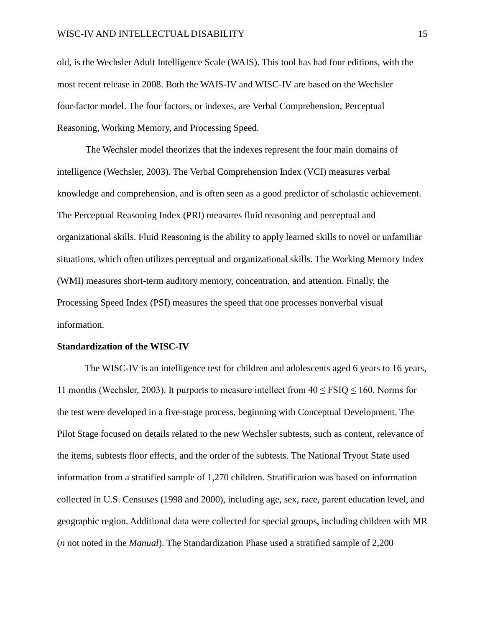old, is the Wechsler Adult Intelligence Scale (WAIS). This tool has had four editions, with the most recent release in 2008. Both the WAIS-IV and WISC-IV are based on the Wechsler four-factor model. The four factors, or indexes, are Verbal Comprehension, Perceptual Reasoning, Working Memory, and Processing Speed.

The Wechsler model theorizes that the indexes represent the four main domains of intelligence (Wechsler, 2003). The Verbal Comprehension Index (VCI) measures verbal knowledge and comprehension, and is often seen as a good predictor of scholastic achievement. The Perceptual Reasoning Index (PRI) measures fluid reasoning and perceptual and organizational skills. Fluid Reasoning is the ability to apply learned skills to novel or unfamiliar situations, which often utilizes perceptual and organizational skills. The Working Memory Index (WMI) measures short-term auditory memory, concentration, and attention. Finally, the Processing Speed Index (PSI) measures the speed that one processes nonverbal visual information.

#### **Standardization of the WISC-IV**

The WISC-IV is an intelligence test for children and adolescents aged 6 years to 16 years, 11 months (Wechsler, 2003). It purports to measure intellect from  $40 \leq FSIQ \leq 160$ . Norms for the test were developed in a five-stage process, beginning with Conceptual Development. The Pilot Stage focused on details related to the new Wechsler subtests, such as content, relevance of the items, subtests floor effects, and the order of the subtests. The National Tryout State used information from a stratified sample of 1,270 children. Stratification was based on information collected in U.S. Censuses (1998 and 2000), including age, sex, race, parent education level, and geographic region. Additional data were collected for special groups, including children with MR (*n* not noted in the *Manual*). The Standardization Phase used a stratified sample of 2,200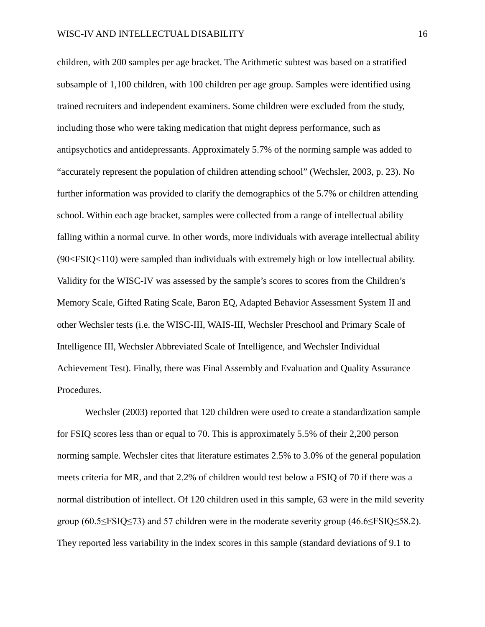children, with 200 samples per age bracket. The Arithmetic subtest was based on a stratified subsample of 1,100 children, with 100 children per age group. Samples were identified using trained recruiters and independent examiners. Some children were excluded from the study, including those who were taking medication that might depress performance, such as antipsychotics and antidepressants. Approximately 5.7% of the norming sample was added to "accurately represent the population of children attending school" (Wechsler, 2003, p. 23). No further information was provided to clarify the demographics of the 5.7% or children attending school. Within each age bracket, samples were collected from a range of intellectual ability falling within a normal curve. In other words, more individuals with average intellectual ability (90<FSIQ<110) were sampled than individuals with extremely high or low intellectual ability. Validity for the WISC-IV was assessed by the sample's scores to scores from the Children's Memory Scale, Gifted Rating Scale, Baron EQ, Adapted Behavior Assessment System II and other Wechsler tests (i.e. the WISC-III, WAIS-III, Wechsler Preschool and Primary Scale of Intelligence III, Wechsler Abbreviated Scale of Intelligence, and Wechsler Individual Achievement Test). Finally, there was Final Assembly and Evaluation and Quality Assurance Procedures.

Wechsler (2003) reported that 120 children were used to create a standardization sample for FSIQ scores less than or equal to 70. This is approximately 5.5% of their 2,200 person norming sample. Wechsler cites that literature estimates 2.5% to 3.0% of the general population meets criteria for MR, and that 2.2% of children would test below a FSIQ of 70 if there was a normal distribution of intellect. Of 120 children used in this sample, 63 were in the mild severity group  $(60.5 \le FSIQ \le 73)$  and 57 children were in the moderate severity group  $(46.6 \le FSIQ \le 58.2)$ . They reported less variability in the index scores in this sample (standard deviations of 9.1 to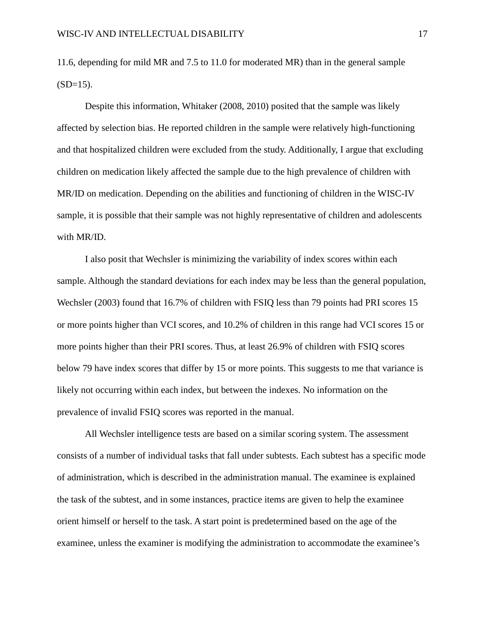11.6, depending for mild MR and 7.5 to 11.0 for moderated MR) than in the general sample  $(SD=15)$ .

Despite this information, Whitaker (2008, 2010) posited that the sample was likely affected by selection bias. He reported children in the sample were relatively high-functioning and that hospitalized children were excluded from the study. Additionally, I argue that excluding children on medication likely affected the sample due to the high prevalence of children with MR/ID on medication. Depending on the abilities and functioning of children in the WISC-IV sample, it is possible that their sample was not highly representative of children and adolescents with MR/ID.

I also posit that Wechsler is minimizing the variability of index scores within each sample. Although the standard deviations for each index may be less than the general population, Wechsler (2003) found that 16.7% of children with FSIQ less than 79 points had PRI scores 15 or more points higher than VCI scores, and 10.2% of children in this range had VCI scores 15 or more points higher than their PRI scores. Thus, at least 26.9% of children with FSIQ scores below 79 have index scores that differ by 15 or more points. This suggests to me that variance is likely not occurring within each index, but between the indexes. No information on the prevalence of invalid FSIQ scores was reported in the manual.

All Wechsler intelligence tests are based on a similar scoring system. The assessment consists of a number of individual tasks that fall under subtests. Each subtest has a specific mode of administration, which is described in the administration manual. The examinee is explained the task of the subtest, and in some instances, practice items are given to help the examinee orient himself or herself to the task. A start point is predetermined based on the age of the examinee, unless the examiner is modifying the administration to accommodate the examinee's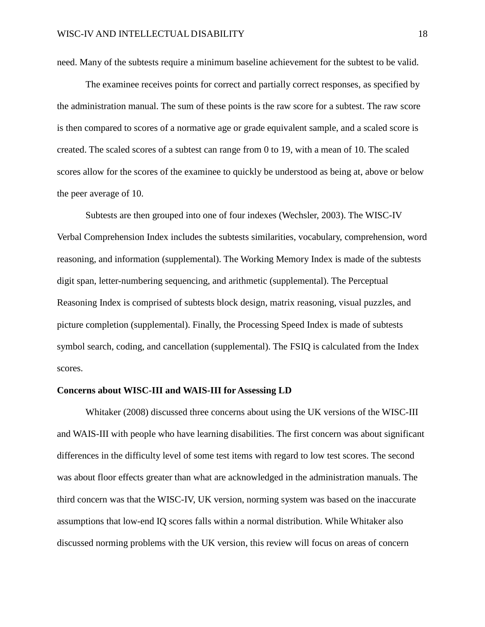need. Many of the subtests require a minimum baseline achievement for the subtest to be valid.

The examinee receives points for correct and partially correct responses, as specified by the administration manual. The sum of these points is the raw score for a subtest. The raw score is then compared to scores of a normative age or grade equivalent sample, and a scaled score is created. The scaled scores of a subtest can range from 0 to 19, with a mean of 10. The scaled scores allow for the scores of the examinee to quickly be understood as being at, above or below the peer average of 10.

Subtests are then grouped into one of four indexes (Wechsler, 2003). The WISC-IV Verbal Comprehension Index includes the subtests similarities, vocabulary, comprehension, word reasoning, and information (supplemental). The Working Memory Index is made of the subtests digit span, letter-numbering sequencing, and arithmetic (supplemental). The Perceptual Reasoning Index is comprised of subtests block design, matrix reasoning, visual puzzles, and picture completion (supplemental). Finally, the Processing Speed Index is made of subtests symbol search, coding, and cancellation (supplemental). The FSIQ is calculated from the Index scores.

#### **Concerns about WISC-III and WAIS-III for Assessing LD**

Whitaker (2008) discussed three concerns about using the UK versions of the WISC-III and WAIS-III with people who have learning disabilities. The first concern was about significant differences in the difficulty level of some test items with regard to low test scores. The second was about floor effects greater than what are acknowledged in the administration manuals. The third concern was that the WISC-IV, UK version, norming system was based on the inaccurate assumptions that low-end IQ scores falls within a normal distribution. While Whitaker also discussed norming problems with the UK version, this review will focus on areas of concern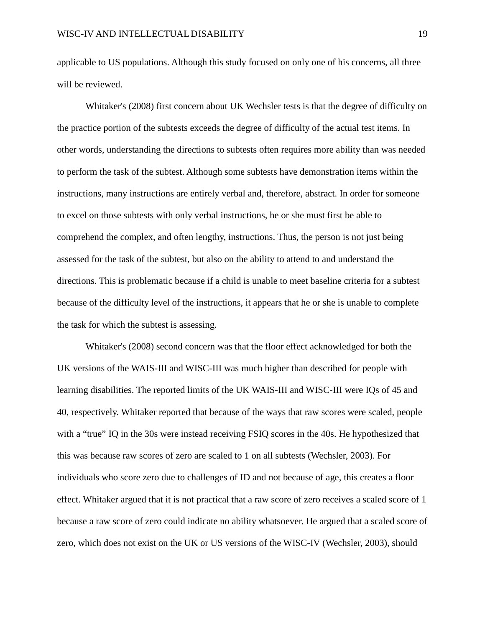applicable to US populations. Although this study focused on only one of his concerns, all three will be reviewed.

Whitaker's (2008) first concern about UK Wechsler tests is that the degree of difficulty on the practice portion of the subtests exceeds the degree of difficulty of the actual test items. In other words, understanding the directions to subtests often requires more ability than was needed to perform the task of the subtest. Although some subtests have demonstration items within the instructions, many instructions are entirely verbal and, therefore, abstract. In order for someone to excel on those subtests with only verbal instructions, he or she must first be able to comprehend the complex, and often lengthy, instructions. Thus, the person is not just being assessed for the task of the subtest, but also on the ability to attend to and understand the directions. This is problematic because if a child is unable to meet baseline criteria for a subtest because of the difficulty level of the instructions, it appears that he or she is unable to complete the task for which the subtest is assessing.

Whitaker's (2008) second concern was that the floor effect acknowledged for both the UK versions of the WAIS-III and WISC-III was much higher than described for people with learning disabilities. The reported limits of the UK WAIS-III and WISC-III were IQs of 45 and 40, respectively. Whitaker reported that because of the ways that raw scores were scaled, people with a "true" IQ in the 30s were instead receiving FSIQ scores in the 40s. He hypothesized that this was because raw scores of zero are scaled to 1 on all subtests (Wechsler, 2003). For individuals who score zero due to challenges of ID and not because of age, this creates a floor effect. Whitaker argued that it is not practical that a raw score of zero receives a scaled score of 1 because a raw score of zero could indicate no ability whatsoever. He argued that a scaled score of zero, which does not exist on the UK or US versions of the WISC-IV (Wechsler, 2003), should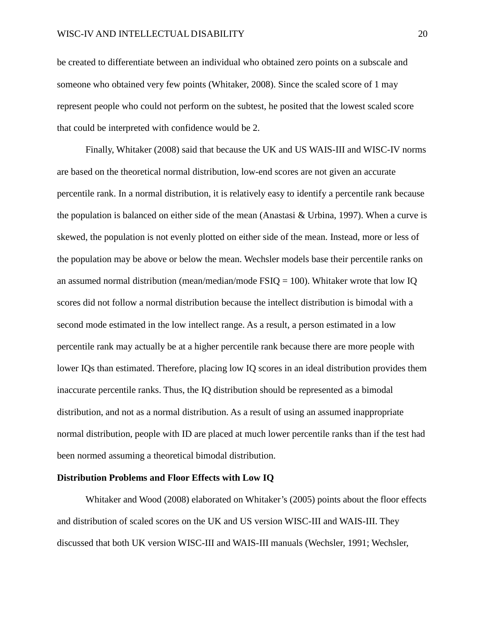be created to differentiate between an individual who obtained zero points on a subscale and someone who obtained very few points (Whitaker, 2008). Since the scaled score of 1 may represent people who could not perform on the subtest, he posited that the lowest scaled score that could be interpreted with confidence would be 2.

Finally, Whitaker (2008) said that because the UK and US WAIS-III and WISC-IV norms are based on the theoretical normal distribution, low-end scores are not given an accurate percentile rank. In a normal distribution, it is relatively easy to identify a percentile rank because the population is balanced on either side of the mean (Anastasi & Urbina, 1997). When a curve is skewed, the population is not evenly plotted on either side of the mean. Instead, more or less of the population may be above or below the mean. Wechsler models base their percentile ranks on an assumed normal distribution (mean/median/mode  $\text{FSIQ} = 100$ ). Whitaker wrote that low IQ scores did not follow a normal distribution because the intellect distribution is bimodal with a second mode estimated in the low intellect range. As a result, a person estimated in a low percentile rank may actually be at a higher percentile rank because there are more people with lower IQs than estimated. Therefore, placing low IQ scores in an ideal distribution provides them inaccurate percentile ranks. Thus, the IQ distribution should be represented as a bimodal distribution, and not as a normal distribution. As a result of using an assumed inappropriate normal distribution, people with ID are placed at much lower percentile ranks than if the test had been normed assuming a theoretical bimodal distribution.

#### **Distribution Problems and Floor Effects with Low IQ**

Whitaker and Wood (2008) elaborated on Whitaker's (2005) points about the floor effects and distribution of scaled scores on the UK and US version WISC-III and WAIS-III. They discussed that both UK version WISC-III and WAIS-III manuals (Wechsler, 1991; Wechsler,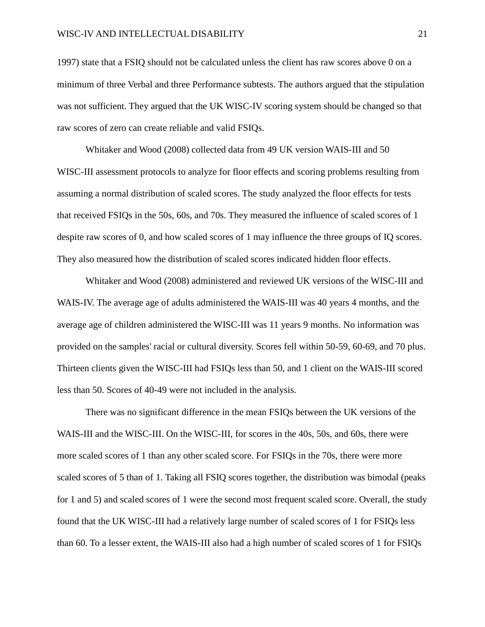1997) state that a FSIQ should not be calculated unless the client has raw scores above 0 on a minimum of three Verbal and three Performance subtests. The authors argued that the stipulation was not sufficient. They argued that the UK WISC-IV scoring system should be changed so that raw scores of zero can create reliable and valid FSIQs.

Whitaker and Wood (2008) collected data from 49 UK version WAIS-III and 50 WISC-III assessment protocols to analyze for floor effects and scoring problems resulting from assuming a normal distribution of scaled scores. The study analyzed the floor effects for tests that received FSIQs in the 50s, 60s, and 70s. They measured the influence of scaled scores of 1 despite raw scores of 0, and how scaled scores of 1 may influence the three groups of IQ scores. They also measured how the distribution of scaled scores indicated hidden floor effects.

Whitaker and Wood (2008) administered and reviewed UK versions of the WISC-III and WAIS-IV. The average age of adults administered the WAIS-III was 40 years 4 months, and the average age of children administered the WISC-III was 11 years 9 months. No information was provided on the samples' racial or cultural diversity. Scores fell within 50-59, 60-69, and 70 plus. Thirteen clients given the WISC-III had FSIQs less than 50, and 1 client on the WAIS-III scored less than 50. Scores of 40-49 were not included in the analysis.

There was no significant difference in the mean FSIQs between the UK versions of the WAIS-III and the WISC-III. On the WISC-III, for scores in the 40s, 50s, and 60s, there were more scaled scores of 1 than any other scaled score. For FSIQs in the 70s, there were more scaled scores of 5 than of 1. Taking all FSIQ scores together, the distribution was bimodal (peaks for 1 and 5) and scaled scores of 1 were the second most frequent scaled score. Overall, the study found that the UK WISC-III had a relatively large number of scaled scores of 1 for FSIQs less than 60. To a lesser extent, the WAIS-III also had a high number of scaled scores of 1 for FSIQs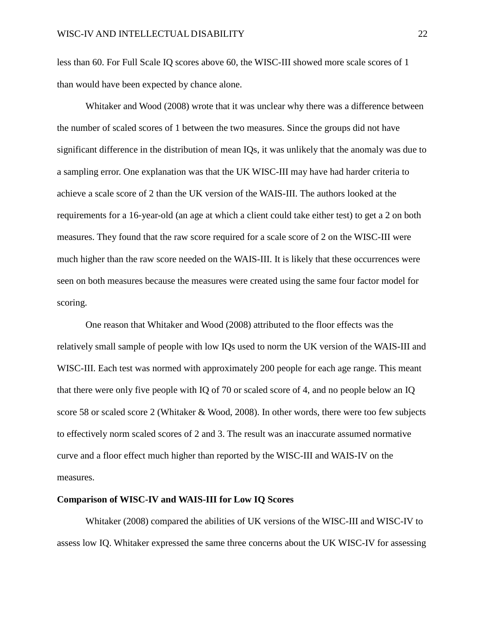less than 60. For Full Scale IQ scores above 60, the WISC-III showed more scale scores of 1 than would have been expected by chance alone.

Whitaker and Wood (2008) wrote that it was unclear why there was a difference between the number of scaled scores of 1 between the two measures. Since the groups did not have significant difference in the distribution of mean IQs, it was unlikely that the anomaly was due to a sampling error. One explanation was that the UK WISC-III may have had harder criteria to achieve a scale score of 2 than the UK version of the WAIS-III. The authors looked at the requirements for a 16-year-old (an age at which a client could take either test) to get a 2 on both measures. They found that the raw score required for a scale score of 2 on the WISC-III were much higher than the raw score needed on the WAIS-III. It is likely that these occurrences were seen on both measures because the measures were created using the same four factor model for scoring.

One reason that Whitaker and Wood (2008) attributed to the floor effects was the relatively small sample of people with low IQs used to norm the UK version of the WAIS-III and WISC-III. Each test was normed with approximately 200 people for each age range. This meant that there were only five people with IQ of 70 or scaled score of 4, and no people below an IQ score 58 or scaled score 2 (Whitaker & Wood, 2008). In other words, there were too few subjects to effectively norm scaled scores of 2 and 3. The result was an inaccurate assumed normative curve and a floor effect much higher than reported by the WISC-III and WAIS-IV on the measures.

#### **Comparison of WISC-IV and WAIS-III for Low IQ Scores**

Whitaker (2008) compared the abilities of UK versions of the WISC-III and WISC-IV to assess low IQ. Whitaker expressed the same three concerns about the UK WISC-IV for assessing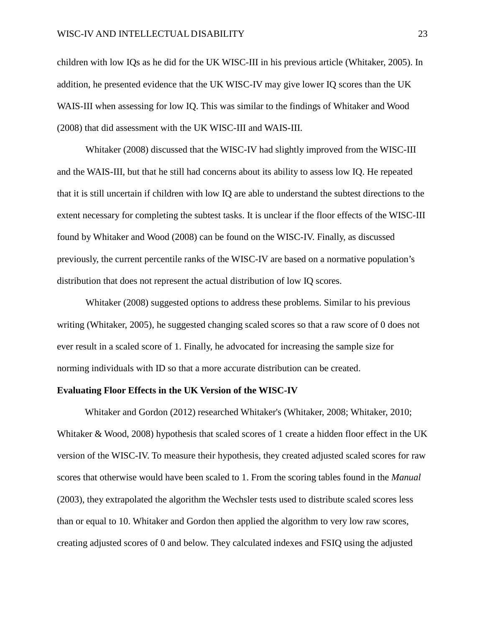children with low IQs as he did for the UK WISC-III in his previous article (Whitaker, 2005). In addition, he presented evidence that the UK WISC-IV may give lower IQ scores than the UK WAIS-III when assessing for low IQ. This was similar to the findings of Whitaker and Wood (2008) that did assessment with the UK WISC-III and WAIS-III.

Whitaker (2008) discussed that the WISC-IV had slightly improved from the WISC-III and the WAIS-III, but that he still had concerns about its ability to assess low IQ. He repeated that it is still uncertain if children with low IQ are able to understand the subtest directions to the extent necessary for completing the subtest tasks. It is unclear if the floor effects of the WISC-III found by Whitaker and Wood (2008) can be found on the WISC-IV. Finally, as discussed previously, the current percentile ranks of the WISC-IV are based on a normative population's distribution that does not represent the actual distribution of low IQ scores.

Whitaker (2008) suggested options to address these problems. Similar to his previous writing (Whitaker, 2005), he suggested changing scaled scores so that a raw score of 0 does not ever result in a scaled score of 1. Finally, he advocated for increasing the sample size for norming individuals with ID so that a more accurate distribution can be created.

#### **Evaluating Floor Effects in the UK Version of the WISC-IV**

Whitaker and Gordon (2012) researched Whitaker's (Whitaker, 2008; Whitaker, 2010; Whitaker & Wood, 2008) hypothesis that scaled scores of 1 create a hidden floor effect in the UK version of the WISC-IV. To measure their hypothesis, they created adjusted scaled scores for raw scores that otherwise would have been scaled to 1. From the scoring tables found in the *Manual*  (2003), they extrapolated the algorithm the Wechsler tests used to distribute scaled scores less than or equal to 10. Whitaker and Gordon then applied the algorithm to very low raw scores, creating adjusted scores of 0 and below. They calculated indexes and FSIQ using the adjusted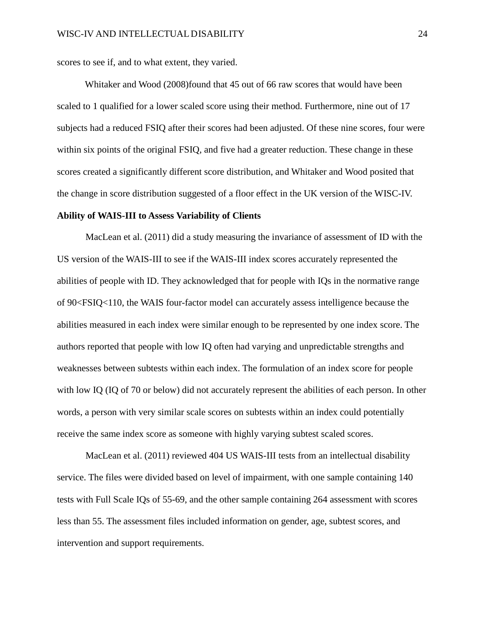scores to see if, and to what extent, they varied.

Whitaker and Wood (2008)found that 45 out of 66 raw scores that would have been scaled to 1 qualified for a lower scaled score using their method. Furthermore, nine out of 17 subjects had a reduced FSIQ after their scores had been adjusted. Of these nine scores, four were within six points of the original FSIQ, and five had a greater reduction. These change in these scores created a significantly different score distribution, and Whitaker and Wood posited that the change in score distribution suggested of a floor effect in the UK version of the WISC-IV.

#### **Ability of WAIS-III to Assess Variability of Clients**

MacLean et al. (2011) did a study measuring the invariance of assessment of ID with the US version of the WAIS-III to see if the WAIS-III index scores accurately represented the abilities of people with ID. They acknowledged that for people with IQs in the normative range of 90<FSIQ<110, the WAIS four-factor model can accurately assess intelligence because the abilities measured in each index were similar enough to be represented by one index score. The authors reported that people with low IQ often had varying and unpredictable strengths and weaknesses between subtests within each index. The formulation of an index score for people with low IQ (IQ of 70 or below) did not accurately represent the abilities of each person. In other words, a person with very similar scale scores on subtests within an index could potentially receive the same index score as someone with highly varying subtest scaled scores.

MacLean et al. (2011) reviewed 404 US WAIS-III tests from an intellectual disability service. The files were divided based on level of impairment, with one sample containing 140 tests with Full Scale IQs of 55-69, and the other sample containing 264 assessment with scores less than 55. The assessment files included information on gender, age, subtest scores, and intervention and support requirements.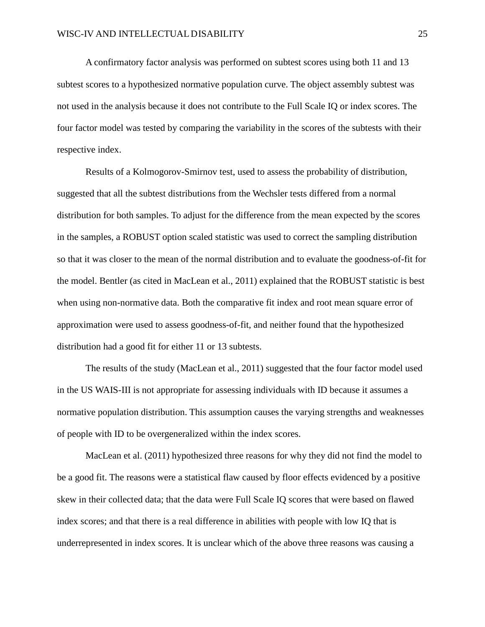A confirmatory factor analysis was performed on subtest scores using both 11 and 13 subtest scores to a hypothesized normative population curve. The object assembly subtest was not used in the analysis because it does not contribute to the Full Scale IQ or index scores. The four factor model was tested by comparing the variability in the scores of the subtests with their respective index.

Results of a Kolmogorov-Smirnov test, used to assess the probability of distribution, suggested that all the subtest distributions from the Wechsler tests differed from a normal distribution for both samples. To adjust for the difference from the mean expected by the scores in the samples, a ROBUST option scaled statistic was used to correct the sampling distribution so that it was closer to the mean of the normal distribution and to evaluate the goodness-of-fit for the model. Bentler (as cited in MacLean et al., 2011) explained that the ROBUST statistic is best when using non-normative data. Both the comparative fit index and root mean square error of approximation were used to assess goodness-of-fit, and neither found that the hypothesized distribution had a good fit for either 11 or 13 subtests.

The results of the study (MacLean et al., 2011) suggested that the four factor model used in the US WAIS-III is not appropriate for assessing individuals with ID because it assumes a normative population distribution. This assumption causes the varying strengths and weaknesses of people with ID to be overgeneralized within the index scores.

MacLean et al. (2011) hypothesized three reasons for why they did not find the model to be a good fit. The reasons were a statistical flaw caused by floor effects evidenced by a positive skew in their collected data; that the data were Full Scale IQ scores that were based on flawed index scores; and that there is a real difference in abilities with people with low IQ that is underrepresented in index scores. It is unclear which of the above three reasons was causing a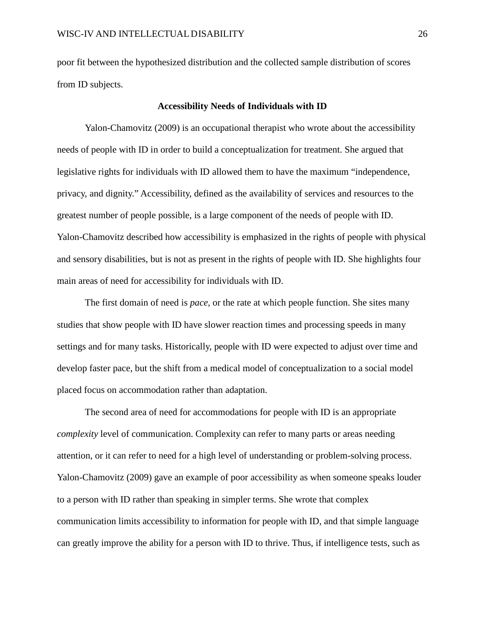poor fit between the hypothesized distribution and the collected sample distribution of scores from ID subjects.

#### **Accessibility Needs of Individuals with ID**

Yalon-Chamovitz (2009) is an occupational therapist who wrote about the accessibility needs of people with ID in order to build a conceptualization for treatment. She argued that legislative rights for individuals with ID allowed them to have the maximum "independence, privacy, and dignity." Accessibility, defined as the availability of services and resources to the greatest number of people possible, is a large component of the needs of people with ID. Yalon-Chamovitz described how accessibility is emphasized in the rights of people with physical and sensory disabilities, but is not as present in the rights of people with ID. She highlights four main areas of need for accessibility for individuals with ID.

The first domain of need is *pace*, or the rate at which people function. She sites many studies that show people with ID have slower reaction times and processing speeds in many settings and for many tasks. Historically, people with ID were expected to adjust over time and develop faster pace, but the shift from a medical model of conceptualization to a social model placed focus on accommodation rather than adaptation.

The second area of need for accommodations for people with ID is an appropriate *complexity* level of communication. Complexity can refer to many parts or areas needing attention, or it can refer to need for a high level of understanding or problem-solving process. Yalon-Chamovitz (2009) gave an example of poor accessibility as when someone speaks louder to a person with ID rather than speaking in simpler terms. She wrote that complex communication limits accessibility to information for people with ID, and that simple language can greatly improve the ability for a person with ID to thrive. Thus, if intelligence tests, such as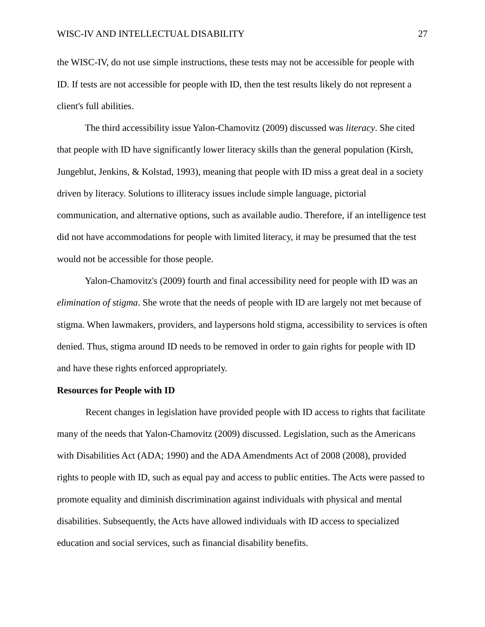the WISC-IV, do not use simple instructions, these tests may not be accessible for people with ID. If tests are not accessible for people with ID, then the test results likely do not represent a client's full abilities.

The third accessibility issue Yalon-Chamovitz (2009) discussed was *literacy*. She cited that people with ID have significantly lower literacy skills than the general population (Kirsh, Jungeblut, Jenkins, & Kolstad, 1993), meaning that people with ID miss a great deal in a society driven by literacy. Solutions to illiteracy issues include simple language, pictorial communication, and alternative options, such as available audio. Therefore, if an intelligence test did not have accommodations for people with limited literacy, it may be presumed that the test would not be accessible for those people.

Yalon-Chamovitz's (2009) fourth and final accessibility need for people with ID was an *elimination of stigma*. She wrote that the needs of people with ID are largely not met because of stigma. When lawmakers, providers, and laypersons hold stigma, accessibility to services is often denied. Thus, stigma around ID needs to be removed in order to gain rights for people with ID and have these rights enforced appropriately.

#### **Resources for People with ID**

Recent changes in legislation have provided people with ID access to rights that facilitate many of the needs that Yalon-Chamovitz (2009) discussed. Legislation, such as the Americans with Disabilities Act (ADA; 1990) and the ADA Amendments Act of 2008 (2008), provided rights to people with ID, such as equal pay and access to public entities. The Acts were passed to promote equality and diminish discrimination against individuals with physical and mental disabilities. Subsequently, the Acts have allowed individuals with ID access to specialized education and social services, such as financial disability benefits.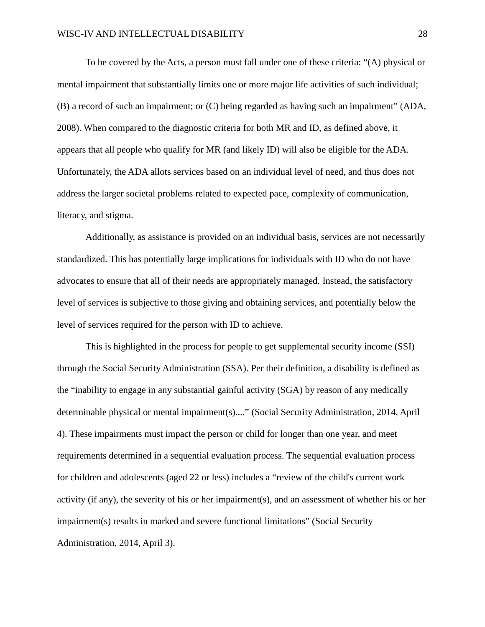To be covered by the Acts, a person must fall under one of these criteria: "(A) physical or mental impairment that substantially limits one or more major life activities of such individual; (B) a record of such an impairment; or (C) being regarded as having such an impairment" (ADA, 2008). When compared to the diagnostic criteria for both MR and ID, as defined above, it appears that all people who qualify for MR (and likely ID) will also be eligible for the ADA. Unfortunately, the ADA allots services based on an individual level of need, and thus does not address the larger societal problems related to expected pace, complexity of communication, literacy, and stigma.

Additionally, as assistance is provided on an individual basis, services are not necessarily standardized. This has potentially large implications for individuals with ID who do not have advocates to ensure that all of their needs are appropriately managed. Instead, the satisfactory level of services is subjective to those giving and obtaining services, and potentially below the level of services required for the person with ID to achieve.

This is highlighted in the process for people to get supplemental security income (SSI) through the Social Security Administration (SSA). Per their definition, a disability is defined as the "inability to engage in any substantial gainful activity (SGA) by reason of any medically determinable physical or mental impairment(s)...." (Social Security Administration, 2014, April 4). These impairments must impact the person or child for longer than one year, and meet requirements determined in a sequential evaluation process. The sequential evaluation process for children and adolescents (aged 22 or less) includes a "review of the child's current work activity (if any), the severity of his or her impairment(s), and an assessment of whether his or her impairment(s) results in marked and severe functional limitations" (Social Security Administration, 2014, April 3).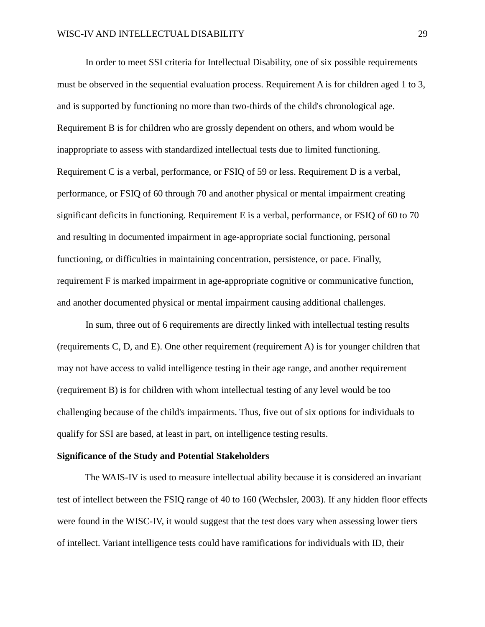In order to meet SSI criteria for Intellectual Disability, one of six possible requirements must be observed in the sequential evaluation process. Requirement A is for children aged 1 to 3, and is supported by functioning no more than two-thirds of the child's chronological age. Requirement B is for children who are grossly dependent on others, and whom would be inappropriate to assess with standardized intellectual tests due to limited functioning. Requirement C is a verbal, performance, or FSIQ of 59 or less. Requirement D is a verbal, performance, or FSIQ of 60 through 70 and another physical or mental impairment creating significant deficits in functioning. Requirement E is a verbal, performance, or FSIQ of 60 to 70 and resulting in documented impairment in age-appropriate social functioning, personal functioning, or difficulties in maintaining concentration, persistence, or pace. Finally, requirement F is marked impairment in age-appropriate cognitive or communicative function, and another documented physical or mental impairment causing additional challenges.

In sum, three out of 6 requirements are directly linked with intellectual testing results (requirements C, D, and E). One other requirement (requirement A) is for younger children that may not have access to valid intelligence testing in their age range, and another requirement (requirement B) is for children with whom intellectual testing of any level would be too challenging because of the child's impairments. Thus, five out of six options for individuals to qualify for SSI are based, at least in part, on intelligence testing results.

#### **Significance of the Study and Potential Stakeholders**

The WAIS-IV is used to measure intellectual ability because it is considered an invariant test of intellect between the FSIQ range of 40 to 160 (Wechsler, 2003). If any hidden floor effects were found in the WISC-IV, it would suggest that the test does vary when assessing lower tiers of intellect. Variant intelligence tests could have ramifications for individuals with ID, their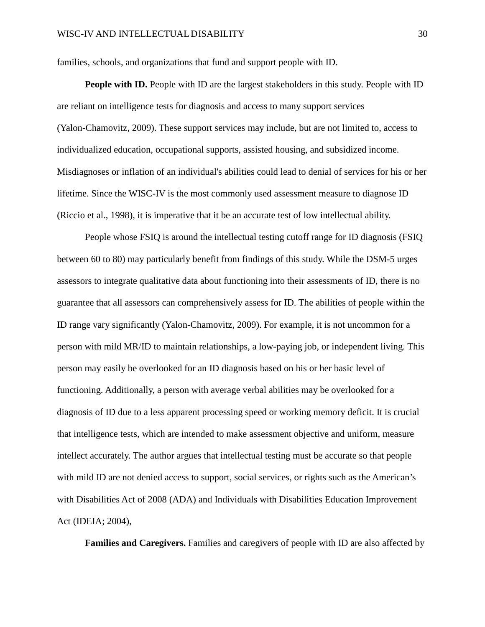families, schools, and organizations that fund and support people with ID.

**People with ID.** People with ID are the largest stakeholders in this study. People with ID are reliant on intelligence tests for diagnosis and access to many support services (Yalon-Chamovitz, 2009). These support services may include, but are not limited to, access to individualized education, occupational supports, assisted housing, and subsidized income. Misdiagnoses or inflation of an individual's abilities could lead to denial of services for his or her lifetime. Since the WISC-IV is the most commonly used assessment measure to diagnose ID (Riccio et al., 1998), it is imperative that it be an accurate test of low intellectual ability.

People whose FSIQ is around the intellectual testing cutoff range for ID diagnosis (FSIQ between 60 to 80) may particularly benefit from findings of this study. While the DSM-5 urges assessors to integrate qualitative data about functioning into their assessments of ID, there is no guarantee that all assessors can comprehensively assess for ID. The abilities of people within the ID range vary significantly (Yalon-Chamovitz, 2009). For example, it is not uncommon for a person with mild MR/ID to maintain relationships, a low-paying job, or independent living. This person may easily be overlooked for an ID diagnosis based on his or her basic level of functioning. Additionally, a person with average verbal abilities may be overlooked for a diagnosis of ID due to a less apparent processing speed or working memory deficit. It is crucial that intelligence tests, which are intended to make assessment objective and uniform, measure intellect accurately. The author argues that intellectual testing must be accurate so that people with mild ID are not denied access to support, social services, or rights such as the American's with Disabilities Act of 2008 (ADA) and Individuals with Disabilities Education Improvement Act (IDEIA; 2004),

**Families and Caregivers.** Families and caregivers of people with ID are also affected by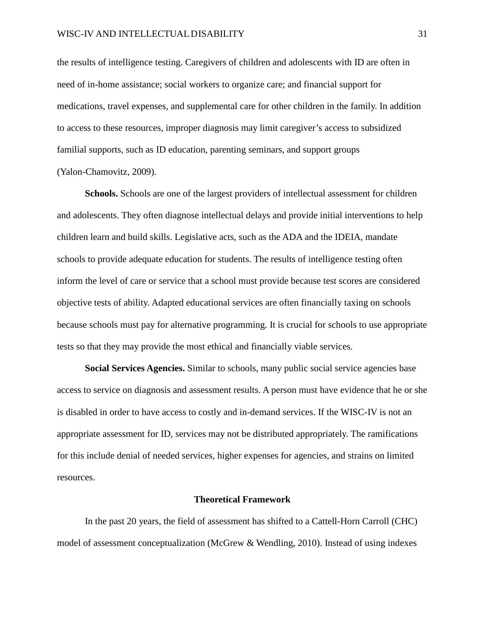the results of intelligence testing. Caregivers of children and adolescents with ID are often in need of in-home assistance; social workers to organize care; and financial support for medications, travel expenses, and supplemental care for other children in the family. In addition to access to these resources, improper diagnosis may limit caregiver's access to subsidized familial supports, such as ID education, parenting seminars, and support groups (Yalon-Chamovitz, 2009).

**Schools.** Schools are one of the largest providers of intellectual assessment for children and adolescents. They often diagnose intellectual delays and provide initial interventions to help children learn and build skills. Legislative acts, such as the ADA and the IDEIA, mandate schools to provide adequate education for students. The results of intelligence testing often inform the level of care or service that a school must provide because test scores are considered objective tests of ability. Adapted educational services are often financially taxing on schools because schools must pay for alternative programming. It is crucial for schools to use appropriate tests so that they may provide the most ethical and financially viable services.

**Social Services Agencies.** Similar to schools, many public social service agencies base access to service on diagnosis and assessment results. A person must have evidence that he or she is disabled in order to have access to costly and in-demand services. If the WISC-IV is not an appropriate assessment for ID, services may not be distributed appropriately. The ramifications for this include denial of needed services, higher expenses for agencies, and strains on limited resources.

#### **Theoretical Framework**

In the past 20 years, the field of assessment has shifted to a Cattell-Horn Carroll (CHC) model of assessment conceptualization (McGrew & Wendling, 2010). Instead of using indexes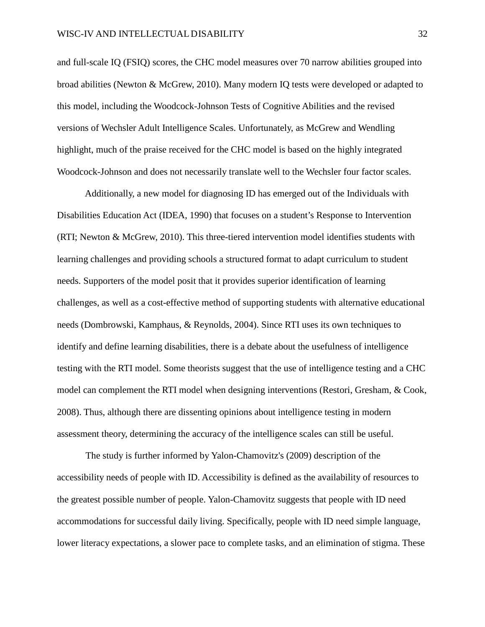and full-scale IQ (FSIQ) scores, the CHC model measures over 70 narrow abilities grouped into broad abilities (Newton & McGrew, 2010). Many modern IQ tests were developed or adapted to this model, including the Woodcock-Johnson Tests of Cognitive Abilities and the revised versions of Wechsler Adult Intelligence Scales. Unfortunately, as McGrew and Wendling highlight, much of the praise received for the CHC model is based on the highly integrated Woodcock-Johnson and does not necessarily translate well to the Wechsler four factor scales.

Additionally, a new model for diagnosing ID has emerged out of the Individuals with Disabilities Education Act (IDEA, 1990) that focuses on a student's Response to Intervention (RTI; Newton & McGrew, 2010). This three-tiered intervention model identifies students with learning challenges and providing schools a structured format to adapt curriculum to student needs. Supporters of the model posit that it provides superior identification of learning challenges, as well as a cost-effective method of supporting students with alternative educational needs (Dombrowski, Kamphaus, & Reynolds, 2004). Since RTI uses its own techniques to identify and define learning disabilities, there is a debate about the usefulness of intelligence testing with the RTI model. Some theorists suggest that the use of intelligence testing and a CHC model can complement the RTI model when designing interventions (Restori, Gresham, & Cook, 2008). Thus, although there are dissenting opinions about intelligence testing in modern assessment theory, determining the accuracy of the intelligence scales can still be useful.

The study is further informed by Yalon-Chamovitz's (2009) description of the accessibility needs of people with ID. Accessibility is defined as the availability of resources to the greatest possible number of people. Yalon-Chamovitz suggests that people with ID need accommodations for successful daily living. Specifically, people with ID need simple language, lower literacy expectations, a slower pace to complete tasks, and an elimination of stigma. These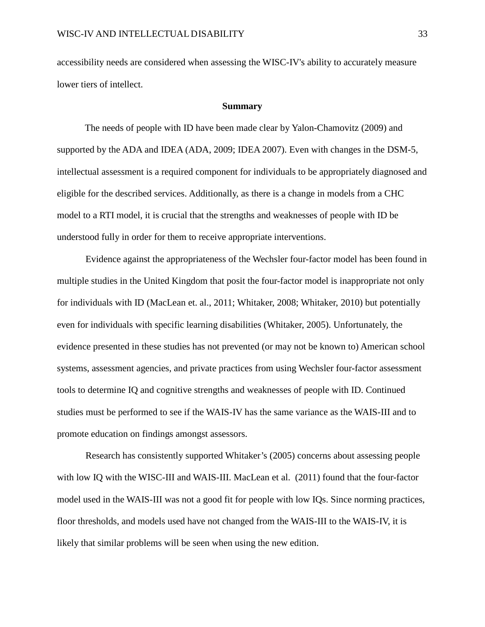accessibility needs are considered when assessing the WISC-IV's ability to accurately measure lower tiers of intellect.

#### **Summary**

The needs of people with ID have been made clear by Yalon-Chamovitz (2009) and supported by the ADA and IDEA (ADA, 2009; IDEA 2007). Even with changes in the DSM-5, intellectual assessment is a required component for individuals to be appropriately diagnosed and eligible for the described services. Additionally, as there is a change in models from a CHC model to a RTI model, it is crucial that the strengths and weaknesses of people with ID be understood fully in order for them to receive appropriate interventions.

Evidence against the appropriateness of the Wechsler four-factor model has been found in multiple studies in the United Kingdom that posit the four-factor model is inappropriate not only for individuals with ID (MacLean et. al., 2011; Whitaker, 2008; Whitaker, 2010) but potentially even for individuals with specific learning disabilities (Whitaker, 2005). Unfortunately, the evidence presented in these studies has not prevented (or may not be known to) American school systems, assessment agencies, and private practices from using Wechsler four-factor assessment tools to determine IQ and cognitive strengths and weaknesses of people with ID. Continued studies must be performed to see if the WAIS-IV has the same variance as the WAIS-III and to promote education on findings amongst assessors.

Research has consistently supported Whitaker's (2005) concerns about assessing people with low IQ with the WISC-III and WAIS-III. MacLean et al. (2011) found that the four-factor model used in the WAIS-III was not a good fit for people with low IQs. Since norming practices, floor thresholds, and models used have not changed from the WAIS-III to the WAIS-IV, it is likely that similar problems will be seen when using the new edition.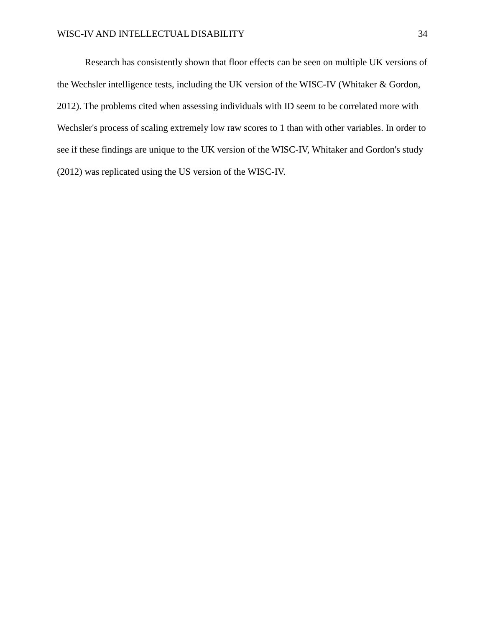Research has consistently shown that floor effects can be seen on multiple UK versions of the Wechsler intelligence tests, including the UK version of the WISC-IV (Whitaker & Gordon, 2012). The problems cited when assessing individuals with ID seem to be correlated more with Wechsler's process of scaling extremely low raw scores to 1 than with other variables. In order to see if these findings are unique to the UK version of the WISC-IV, Whitaker and Gordon's study (2012) was replicated using the US version of the WISC-IV.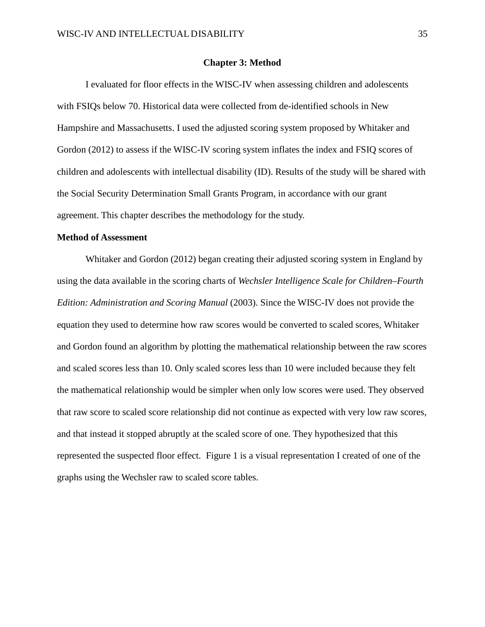#### **Chapter 3: Method**

I evaluated for floor effects in the WISC-IV when assessing children and adolescents with FSIQs below 70. Historical data were collected from de-identified schools in New Hampshire and Massachusetts. I used the adjusted scoring system proposed by Whitaker and Gordon (2012) to assess if the WISC-IV scoring system inflates the index and FSIQ scores of children and adolescents with intellectual disability (ID). Results of the study will be shared with the Social Security Determination Small Grants Program, in accordance with our grant agreement. This chapter describes the methodology for the study.

#### **Method of Assessment**

Whitaker and Gordon (2012) began creating their adjusted scoring system in England by using the data available in the scoring charts of *Wechsler Intelligence Scale for Children–Fourth Edition: Administration and Scoring Manual* (2003). Since the WISC-IV does not provide the equation they used to determine how raw scores would be converted to scaled scores, Whitaker and Gordon found an algorithm by plotting the mathematical relationship between the raw scores and scaled scores less than 10. Only scaled scores less than 10 were included because they felt the mathematical relationship would be simpler when only low scores were used. They observed that raw score to scaled score relationship did not continue as expected with very low raw scores, and that instead it stopped abruptly at the scaled score of one. They hypothesized that this represented the suspected floor effect. Figure 1 is a visual representation I created of one of the graphs using the Wechsler raw to scaled score tables.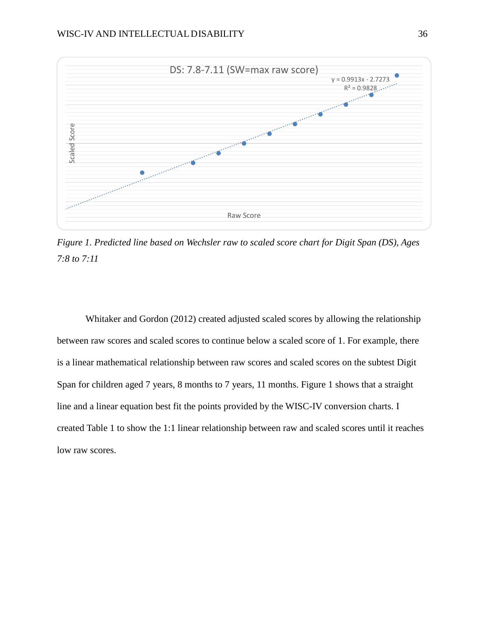

*Figure 1. Predicted line based on Wechsler raw to scaled score chart for Digit Span (DS), Ages 7:8 to 7:11*

Whitaker and Gordon (2012) created adjusted scaled scores by allowing the relationship between raw scores and scaled scores to continue below a scaled score of 1. For example, there is a linear mathematical relationship between raw scores and scaled scores on the subtest Digit Span for children aged 7 years, 8 months to 7 years, 11 months. Figure 1 shows that a straight line and a linear equation best fit the points provided by the WISC-IV conversion charts. I created Table 1 to show the 1:1 linear relationship between raw and scaled scores until it reaches low raw scores.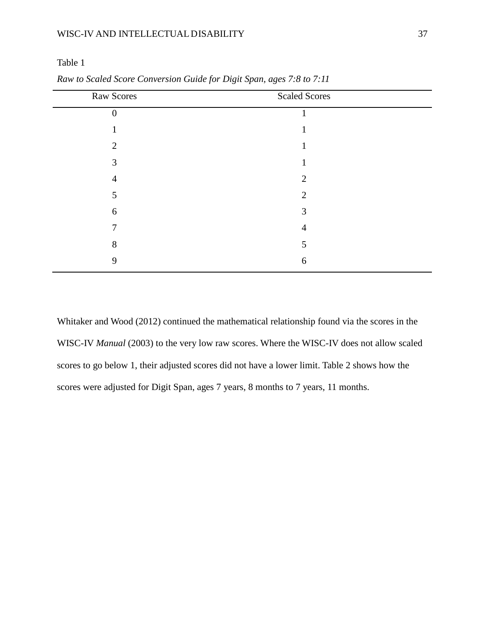### WISC-IV AND INTELLECTUAL DISABILITY 37

Table 1

| Raw Scores     | <b>Scaled Scores</b> |
|----------------|----------------------|
| 0              |                      |
|                |                      |
| $\mathfrak{D}$ |                      |
| 3              |                      |
| $\overline{4}$ | 2                    |
| 5              | $\overline{2}$       |
| 6              | 3                    |
|                | 4                    |
| 8              | 5                    |
| 9              | 6                    |
|                |                      |

*Raw to Scaled Score Conversion Guide for Digit Span, ages 7:8 to 7:11*

Whitaker and Wood (2012) continued the mathematical relationship found via the scores in the WISC-IV *Manual* (2003) to the very low raw scores. Where the WISC-IV does not allow scaled scores to go below 1, their adjusted scores did not have a lower limit. Table 2 shows how the scores were adjusted for Digit Span, ages 7 years, 8 months to 7 years, 11 months.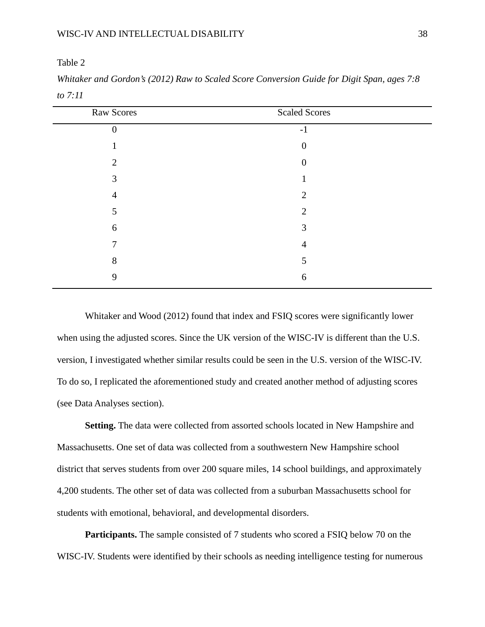| Raw Scores     | <b>Scaled Scores</b> |  |
|----------------|----------------------|--|
| $\overline{0}$ | $-1$                 |  |
|                | $\overline{0}$       |  |
| $\overline{2}$ | $\boldsymbol{0}$     |  |
| 3              |                      |  |
| 4              | $\overline{2}$       |  |
| 5              | 2                    |  |
| 6              | 3                    |  |
| π              | 4                    |  |
| 8              | 5                    |  |
| 9              | 6                    |  |
|                |                      |  |

*Whitaker and Gordon's (2012) Raw to Scaled Score Conversion Guide for Digit Span, ages 7:8 to 7:11*

Whitaker and Wood (2012) found that index and FSIQ scores were significantly lower when using the adjusted scores. Since the UK version of the WISC-IV is different than the U.S. version, I investigated whether similar results could be seen in the U.S. version of the WISC-IV. To do so, I replicated the aforementioned study and created another method of adjusting scores (see Data Analyses section).

**Setting.** The data were collected from assorted schools located in New Hampshire and Massachusetts. One set of data was collected from a southwestern New Hampshire school district that serves students from over 200 square miles, 14 school buildings, and approximately 4,200 students. The other set of data was collected from a suburban Massachusetts school for students with emotional, behavioral, and developmental disorders.

**Participants.** The sample consisted of 7 students who scored a FSIQ below 70 on the WISC-IV. Students were identified by their schools as needing intelligence testing for numerous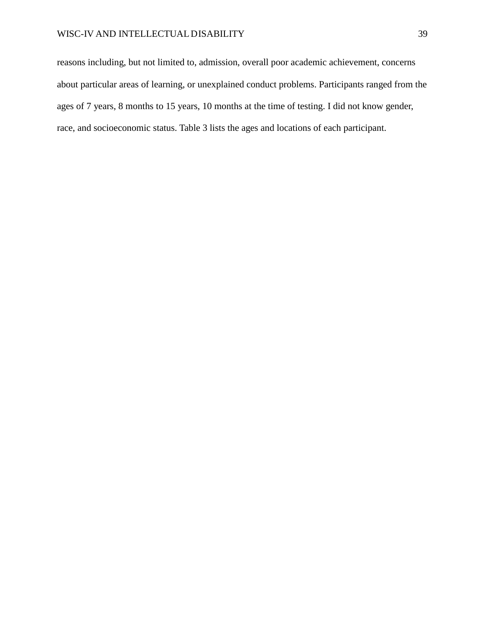reasons including, but not limited to, admission, overall poor academic achievement, concerns about particular areas of learning, or unexplained conduct problems. Participants ranged from the ages of 7 years, 8 months to 15 years, 10 months at the time of testing. I did not know gender, race, and socioeconomic status. Table 3 lists the ages and locations of each participant.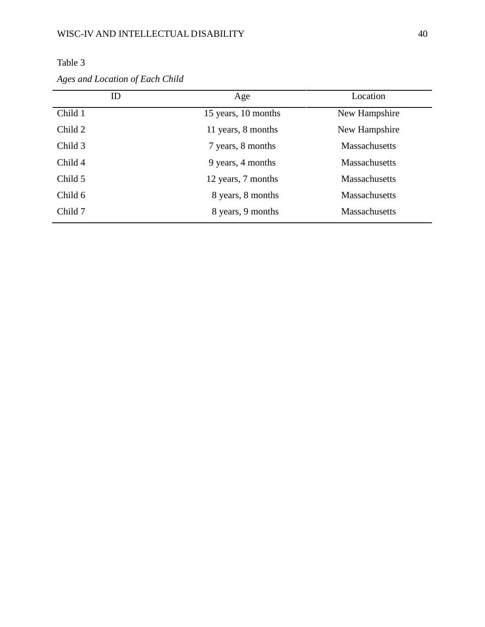|         | ID | Age                 | Location             |
|---------|----|---------------------|----------------------|
| Child 1 |    | 15 years, 10 months | New Hampshire        |
| Child 2 |    | 11 years, 8 months  | New Hampshire        |
| Child 3 |    | 7 years, 8 months   | <b>Massachusetts</b> |
| Child 4 |    | 9 years, 4 months   | <b>Massachusetts</b> |
| Child 5 |    | 12 years, 7 months  | <b>Massachusetts</b> |
| Child 6 |    | 8 years, 8 months   | <b>Massachusetts</b> |
| Child 7 |    | 8 years, 9 months   | <b>Massachusetts</b> |

| <b>Table</b> |  |
|--------------|--|
|              |  |

*Ages and Location of Each Child*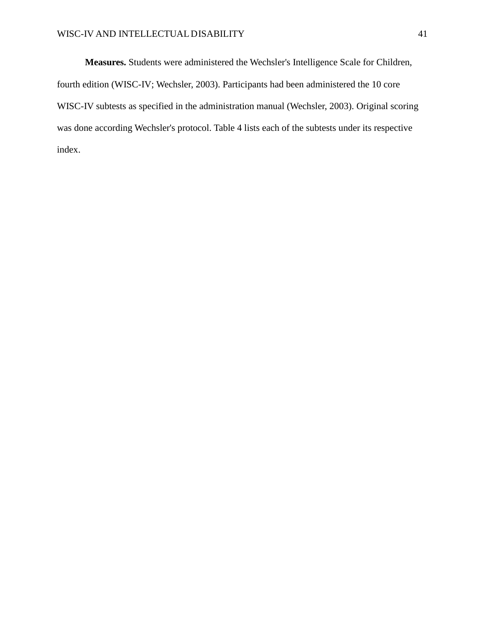**Measures.** Students were administered the Wechsler's Intelligence Scale for Children, fourth edition (WISC-IV; Wechsler, 2003). Participants had been administered the 10 core WISC-IV subtests as specified in the administration manual (Wechsler, 2003). Original scoring was done according Wechsler's protocol. Table 4 lists each of the subtests under its respective index.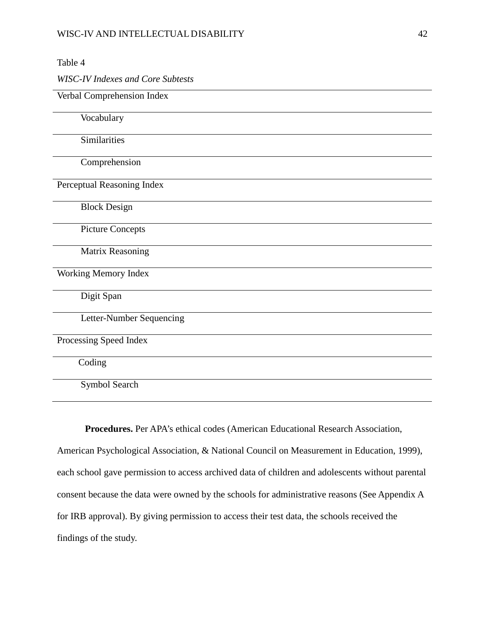*WISC-IV Indexes and Core Subtests*

### Verbal Comprehension Index

Vocabulary

**Similarities** 

Comprehension

Perceptual Reasoning Index

Block Design

Picture Concepts

Matrix Reasoning

Working Memory Index

Digit Span

Letter-Number Sequencing

Processing Speed Index

Coding

Symbol Search

**Procedures.** Per APA's ethical codes (American Educational Research Association, American Psychological Association, & National Council on Measurement in Education, 1999), each school gave permission to access archived data of children and adolescents without parental consent because the data were owned by the schools for administrative reasons (See Appendix A for IRB approval). By giving permission to access their test data, the schools received the findings of the study.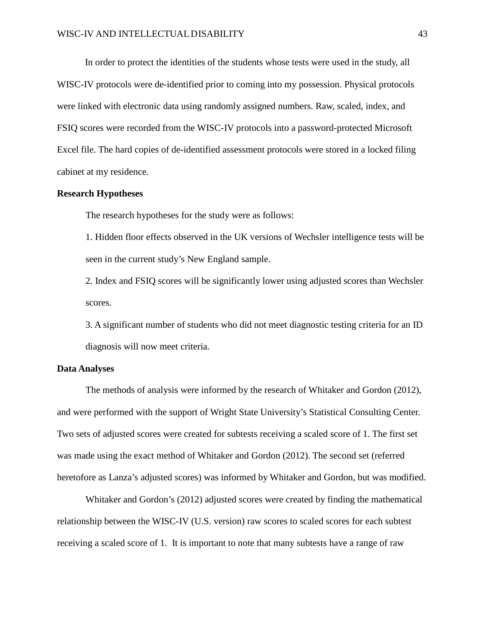In order to protect the identities of the students whose tests were used in the study, all WISC-IV protocols were de-identified prior to coming into my possession. Physical protocols were linked with electronic data using randomly assigned numbers. Raw, scaled, index, and FSIQ scores were recorded from the WISC-IV protocols into a password-protected Microsoft Excel file. The hard copies of de-identified assessment protocols were stored in a locked filing cabinet at my residence.

#### **Research Hypotheses**

The research hypotheses for the study were as follows:

1. Hidden floor effects observed in the UK versions of Wechsler intelligence tests will be seen in the current study's New England sample.

2. Index and FSIQ scores will be significantly lower using adjusted scores than Wechsler scores.

3. A significant number of students who did not meet diagnostic testing criteria for an ID diagnosis will now meet criteria.

#### **Data Analyses**

The methods of analysis were informed by the research of Whitaker and Gordon (2012), and were performed with the support of Wright State University's Statistical Consulting Center. Two sets of adjusted scores were created for subtests receiving a scaled score of 1. The first set was made using the exact method of Whitaker and Gordon (2012). The second set (referred heretofore as Lanza's adjusted scores) was informed by Whitaker and Gordon, but was modified.

Whitaker and Gordon's (2012) adjusted scores were created by finding the mathematical relationship between the WISC-IV (U.S. version) raw scores to scaled scores for each subtest receiving a scaled score of 1. It is important to note that many subtests have a range of raw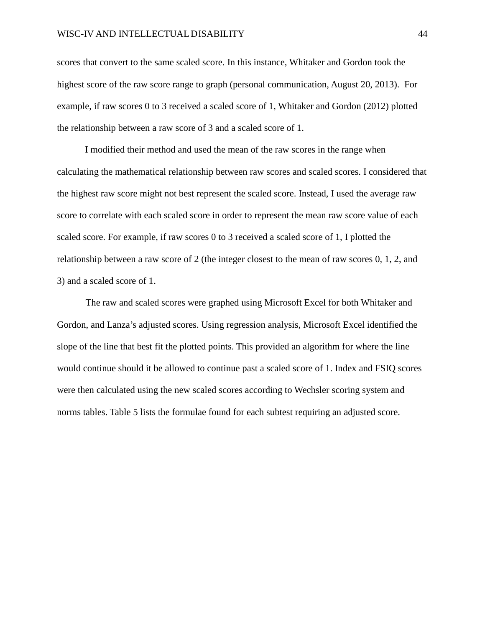scores that convert to the same scaled score. In this instance, Whitaker and Gordon took the highest score of the raw score range to graph (personal communication, August 20, 2013). For example, if raw scores 0 to 3 received a scaled score of 1, Whitaker and Gordon (2012) plotted the relationship between a raw score of 3 and a scaled score of 1.

I modified their method and used the mean of the raw scores in the range when calculating the mathematical relationship between raw scores and scaled scores. I considered that the highest raw score might not best represent the scaled score. Instead, I used the average raw score to correlate with each scaled score in order to represent the mean raw score value of each scaled score. For example, if raw scores 0 to 3 received a scaled score of 1, I plotted the relationship between a raw score of 2 (the integer closest to the mean of raw scores 0, 1, 2, and 3) and a scaled score of 1.

The raw and scaled scores were graphed using Microsoft Excel for both Whitaker and Gordon, and Lanza's adjusted scores. Using regression analysis, Microsoft Excel identified the slope of the line that best fit the plotted points. This provided an algorithm for where the line would continue should it be allowed to continue past a scaled score of 1. Index and FSIQ scores were then calculated using the new scaled scores according to Wechsler scoring system and norms tables. Table 5 lists the formulae found for each subtest requiring an adjusted score.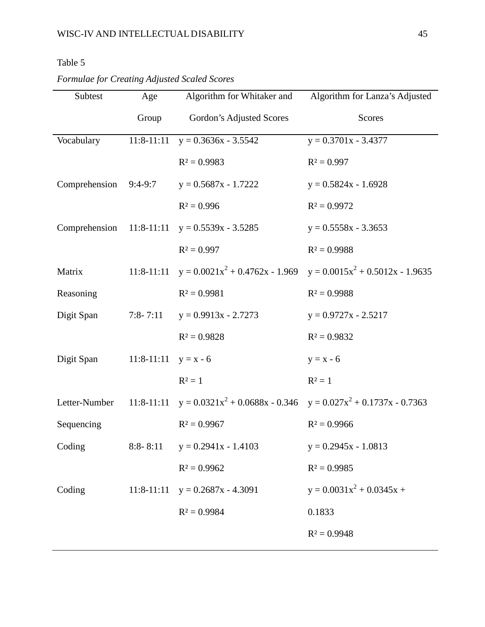| Formulae for Creating Adjusted Scaled Scores |  |  |  |  |
|----------------------------------------------|--|--|--|--|
|----------------------------------------------|--|--|--|--|

| Subtest                 | Age          | Algorithm for Whitaker and                                                         | Algorithm for Lanza's Adjusted                                           |
|-------------------------|--------------|------------------------------------------------------------------------------------|--------------------------------------------------------------------------|
|                         | Group        | Gordon's Adjusted Scores                                                           | Scores                                                                   |
| Vocabulary              | $11:8-11:11$ | $y = 0.3636x - 3.5542$                                                             | $y = 0.3701x - 3.4377$                                                   |
|                         |              | $R^2 = 0.9983$                                                                     | $R^2 = 0.997$                                                            |
| Comprehension $9:4-9:7$ |              | $y = 0.5687x - 1.7222$                                                             | $y = 0.5824x - 1.6928$                                                   |
|                         |              | $R^2 = 0.996$                                                                      | $R^2 = 0.9972$                                                           |
| Comprehension           | $11:8-11:11$ | $y = 0.5539x - 3.5285$                                                             | $y = 0.5558x - 3.3653$                                                   |
|                         |              | $R^2 = 0.997$                                                                      | $R^2 = 0.9988$                                                           |
| Matrix                  | $11:8-11:11$ |                                                                                    | $y = 0.0021x^{2} + 0.4762x - 1.969$ $y = 0.0015x^{2} + 0.5012x - 1.9635$ |
| Reasoning               |              | $R^2 = 0.9981$                                                                     | $R^2 = 0.9988$                                                           |
| Digit Span              | $7:8 - 7:11$ | $y = 0.9913x - 2.7273$                                                             | $y = 0.9727x - 2.5217$                                                   |
|                         |              | $R^2 = 0.9828$                                                                     | $R^2 = 0.9832$                                                           |
| Digit Span              | $11:8-11:11$ | $y = x - 6$                                                                        | $y = x - 6$                                                              |
|                         |              | $R^2 = 1$                                                                          | $R^2=1$                                                                  |
| Letter-Number           |              | 11:8-11:11 $y = 0.0321x^{2} + 0.0688x - 0.346$ $y = 0.027x^{2} + 0.1737x - 0.7363$ |                                                                          |
| Sequencing              |              | $R^2 = 0.9967$                                                                     | $R^2 = 0.9966$                                                           |
| Coding                  | $8:8-8:11$   | $y = 0.2941x - 1.4103$                                                             | $y = 0.2945x - 1.0813$                                                   |
|                         |              | $R^2 = 0.9962$                                                                     | $R^2 = 0.9985$                                                           |
| Coding                  | $11:8-11:11$ | $y = 0.2687x - 4.3091$                                                             | $y = 0.0031x^{2} + 0.0345x +$                                            |
|                         |              | $R^2 = 0.9984$                                                                     | 0.1833                                                                   |
|                         |              |                                                                                    | $R^2 = 0.9948$                                                           |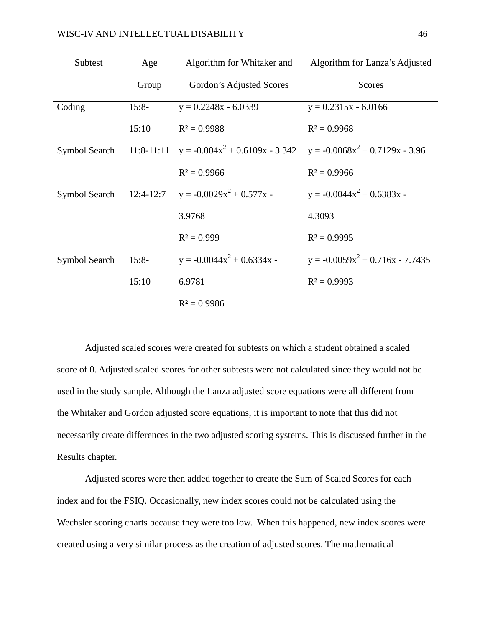| Subtest       | Age          | Algorithm for Whitaker and                                              | Algorithm for Lanza's Adjusted       |
|---------------|--------------|-------------------------------------------------------------------------|--------------------------------------|
|               | Group        | Gordon's Adjusted Scores                                                | <b>Scores</b>                        |
| Coding        | $15:8-$      | $y = 0.2248x - 6.0339$                                                  | $y = 0.2315x - 6.0166$               |
|               | 15:10        | $R^2 = 0.9988$                                                          | $R^2 = 0.9968$                       |
| Symbol Search | $11:8-11:11$ | $y = -0.004x^{2} + 0.6109x - 3.342$ $y = -0.0068x^{2} + 0.7129x - 3.96$ |                                      |
|               |              | $R^2 = 0.9966$                                                          | $R^2 = 0.9966$                       |
| Symbol Search | $12:4-12:7$  | $y = -0.0029x^{2} + 0.577x$                                             | $y = -0.0044x^{2} + 0.6383x -$       |
|               |              | 3.9768                                                                  | 4.3093                               |
|               |              | $R^2 = 0.999$                                                           | $R^2 = 0.9995$                       |
| Symbol Search | $15:8-$      | $y = -0.0044x^{2} + 0.6334x -$                                          | $y = -0.0059x^{2} + 0.716x - 7.7435$ |
|               | 15:10        | 6.9781                                                                  | $R^2 = 0.9993$                       |
|               |              | $R^2 = 0.9986$                                                          |                                      |

Adjusted scaled scores were created for subtests on which a student obtained a scaled score of 0. Adjusted scaled scores for other subtests were not calculated since they would not be used in the study sample. Although the Lanza adjusted score equations were all different from the Whitaker and Gordon adjusted score equations, it is important to note that this did not necessarily create differences in the two adjusted scoring systems. This is discussed further in the Results chapter.

Adjusted scores were then added together to create the Sum of Scaled Scores for each index and for the FSIQ. Occasionally, new index scores could not be calculated using the Wechsler scoring charts because they were too low. When this happened, new index scores were created using a very similar process as the creation of adjusted scores. The mathematical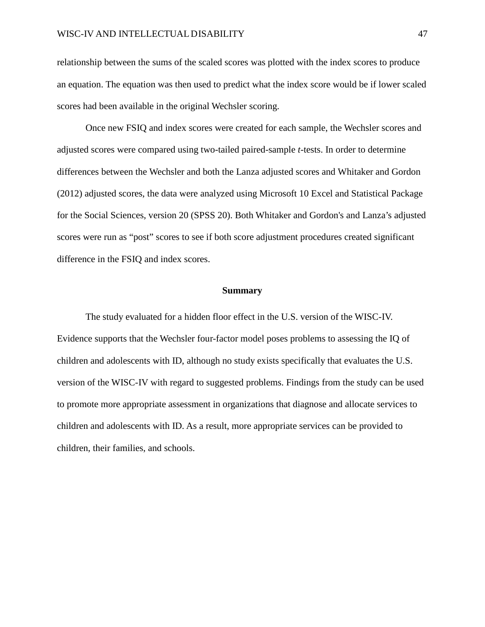relationship between the sums of the scaled scores was plotted with the index scores to produce an equation. The equation was then used to predict what the index score would be if lower scaled scores had been available in the original Wechsler scoring.

Once new FSIQ and index scores were created for each sample, the Wechsler scores and adjusted scores were compared using two-tailed paired-sample *t*-tests. In order to determine differences between the Wechsler and both the Lanza adjusted scores and Whitaker and Gordon (2012) adjusted scores, the data were analyzed using Microsoft 10 Excel and Statistical Package for the Social Sciences, version 20 (SPSS 20). Both Whitaker and Gordon's and Lanza's adjusted scores were run as "post" scores to see if both score adjustment procedures created significant difference in the FSIQ and index scores.

#### **Summary**

The study evaluated for a hidden floor effect in the U.S. version of the WISC-IV. Evidence supports that the Wechsler four-factor model poses problems to assessing the IQ of children and adolescents with ID, although no study exists specifically that evaluates the U.S. version of the WISC-IV with regard to suggested problems. Findings from the study can be used to promote more appropriate assessment in organizations that diagnose and allocate services to children and adolescents with ID. As a result, more appropriate services can be provided to children, their families, and schools.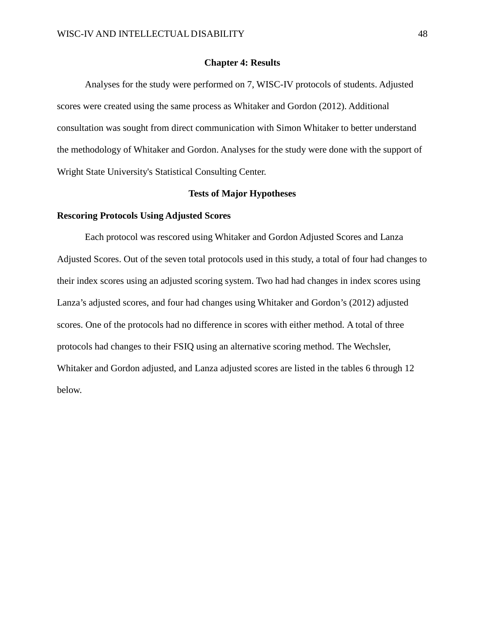#### **Chapter 4: Results**

Analyses for the study were performed on 7, WISC-IV protocols of students. Adjusted scores were created using the same process as Whitaker and Gordon (2012). Additional consultation was sought from direct communication with Simon Whitaker to better understand the methodology of Whitaker and Gordon. Analyses for the study were done with the support of Wright State University's Statistical Consulting Center.

#### **Tests of Major Hypotheses**

#### **Rescoring Protocols Using Adjusted Scores**

Each protocol was rescored using Whitaker and Gordon Adjusted Scores and Lanza Adjusted Scores. Out of the seven total protocols used in this study, a total of four had changes to their index scores using an adjusted scoring system. Two had had changes in index scores using Lanza's adjusted scores, and four had changes using Whitaker and Gordon's (2012) adjusted scores. One of the protocols had no difference in scores with either method. A total of three protocols had changes to their FSIQ using an alternative scoring method. The Wechsler, Whitaker and Gordon adjusted, and Lanza adjusted scores are listed in the tables 6 through 12 below.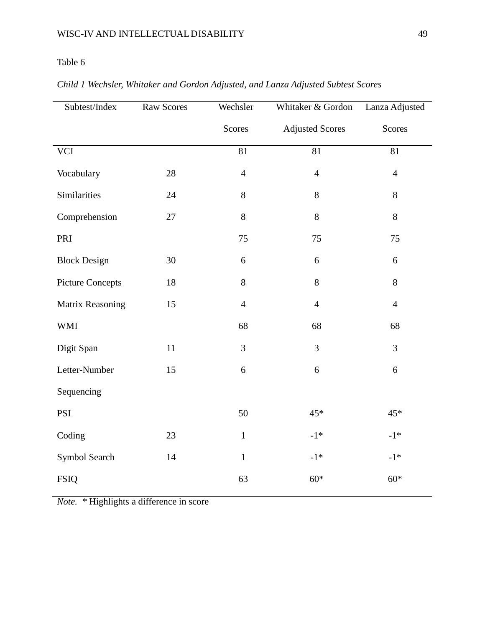| Subtest/Index           | <b>Raw Scores</b> | Wechsler       | Whitaker & Gordon      | Lanza Adjusted  |
|-------------------------|-------------------|----------------|------------------------|-----------------|
|                         |                   | Scores         | <b>Adjusted Scores</b> | Scores          |
| <b>VCI</b>              |                   | 81             | 81                     | $\overline{81}$ |
| Vocabulary              | 28                | $\overline{4}$ | $\overline{4}$         | $\overline{4}$  |
| Similarities            | 24                | $8\,$          | 8                      | 8               |
| Comprehension           | 27                | $8\,$          | 8                      | 8               |
| PRI                     |                   | 75             | 75                     | 75              |
| <b>Block Design</b>     | 30                | 6              | 6                      | 6               |
| <b>Picture Concepts</b> | 18                | $8\,$          | $8\,$                  | 8               |
| Matrix Reasoning        | 15                | $\overline{4}$ | $\overline{4}$         | $\overline{4}$  |
| <b>WMI</b>              |                   | 68             | 68                     | 68              |
| Digit Span              | 11                | 3              | 3                      | 3               |
| Letter-Number           | 15                | 6              | 6                      | 6               |
| Sequencing              |                   |                |                        |                 |
| PSI                     |                   | 50             | 45*                    | $45*$           |
| Coding                  | 23                | $\mathbf{1}$   | $-1*$                  | $-1*$           |
| Symbol Search           | 14                | $\mathbf{1}$   | $-1*$                  | $-1*$           |
| <b>FSIQ</b>             |                   | 63             | $60*$                  | $60*$           |

# *Child 1 Wechsler, Whitaker and Gordon Adjusted, and Lanza Adjusted Subtest Scores*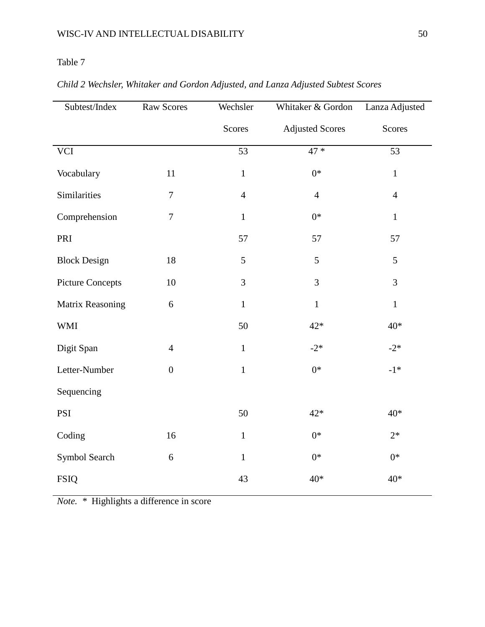| Subtest/Index           | Raw Scores       | Wechsler       | Whitaker & Gordon      | Lanza Adjusted |
|-------------------------|------------------|----------------|------------------------|----------------|
|                         |                  | Scores         | <b>Adjusted Scores</b> | Scores         |
| <b>VCI</b>              |                  | 53             | $47*$                  | 53             |
| Vocabulary              | 11               | $\mathbf{1}$   | $0*$                   | $\mathbf{1}$   |
| Similarities            | $\overline{7}$   | $\overline{4}$ | $\overline{4}$         | $\overline{4}$ |
| Comprehension           | $\overline{7}$   | $\mathbf{1}$   | $0^*$                  | $\mathbf{1}$   |
| PRI                     |                  | 57             | 57                     | 57             |
| <b>Block Design</b>     | 18               | 5              | 5                      | 5              |
| <b>Picture Concepts</b> | 10               | 3              | 3                      | 3              |
| Matrix Reasoning        | 6                | $\mathbf{1}$   | $\mathbf{1}$           | $\mathbf{1}$   |
| <b>WMI</b>              |                  | 50             | $42*$                  | $40*$          |
| Digit Span              | $\overline{4}$   | $\mathbf{1}$   | $-2*$                  | $-2*$          |
| Letter-Number           | $\boldsymbol{0}$ | $\mathbf{1}$   | $0*$                   | $-1*$          |
| Sequencing              |                  |                |                        |                |
| PSI                     |                  | 50             | $42*$                  | $40*$          |
| Coding                  | 16               | $\mathbf{1}$   | $0*$                   | $2*$           |
| Symbol Search           | 6                | $\mathbf{1}$   | $0*$                   | $0*$           |
| <b>FSIQ</b>             |                  | 43             | $40*$                  | $40*$          |

# *Child 2 Wechsler, Whitaker and Gordon Adjusted, and Lanza Adjusted Subtest Scores*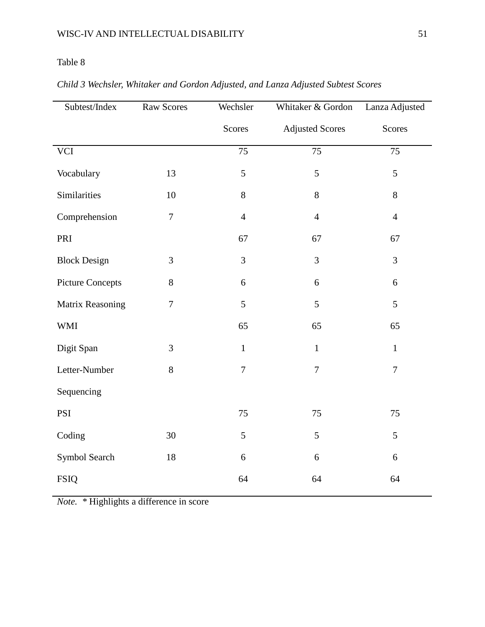| Subtest/Index           | Raw Scores     | Wechsler       | Whitaker & Gordon      | Lanza Adjusted |
|-------------------------|----------------|----------------|------------------------|----------------|
|                         |                | Scores         | <b>Adjusted Scores</b> | Scores         |
| <b>VCI</b>              |                | 75             | 75                     | 75             |
| Vocabulary              | 13             | 5              | 5                      | 5              |
| Similarities            | 10             | $8\,$          | $8\,$                  | $8\,$          |
| Comprehension           | $\overline{7}$ | $\overline{4}$ | $\overline{4}$         | $\overline{4}$ |
| PRI                     |                | 67             | 67                     | 67             |
| <b>Block Design</b>     | 3              | 3              | 3                      | $\overline{3}$ |
| <b>Picture Concepts</b> | $8\,$          | 6              | 6                      | 6              |
| Matrix Reasoning        | $\overline{7}$ | 5              | 5                      | 5              |
| <b>WMI</b>              |                | 65             | 65                     | 65             |
| Digit Span              | 3              | $\mathbf{1}$   | $\mathbf{1}$           | $\mathbf{1}$   |
| Letter-Number           | 8              | $\overline{7}$ | $\overline{7}$         | $\overline{7}$ |
| Sequencing              |                |                |                        |                |
| PSI                     |                | 75             | 75                     | 75             |
| Coding                  | 30             | 5              | 5                      | 5              |
| Symbol Search           | 18             | 6              | 6                      | 6              |
| <b>FSIQ</b>             |                | 64             | 64                     | 64             |

# *Child 3 Wechsler, Whitaker and Gordon Adjusted, and Lanza Adjusted Subtest Scores*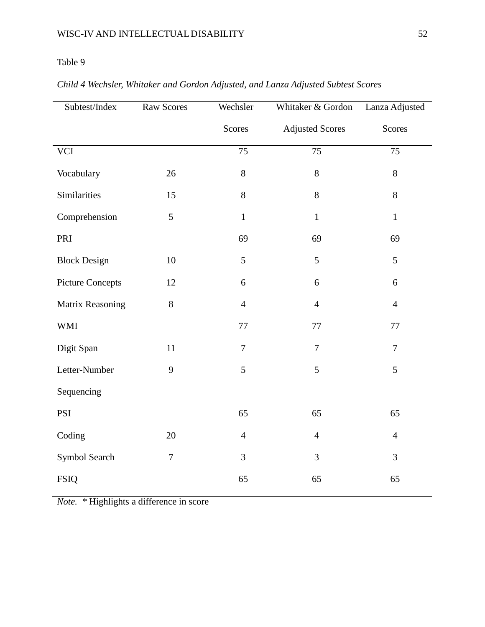| Subtest/Index           | Raw Scores     | Wechsler        | Whitaker & Gordon      | Lanza Adjusted  |
|-------------------------|----------------|-----------------|------------------------|-----------------|
|                         |                | Scores          | <b>Adjusted Scores</b> | Scores          |
| <b>VCI</b>              |                | $\overline{75}$ | 75                     | $\overline{75}$ |
| Vocabulary              | 26             | $8\,$           | 8                      | $8\,$           |
| Similarities            | 15             | 8               | 8                      | $8\,$           |
| Comprehension           | 5              | $\mathbf{1}$    | $\mathbf{1}$           | $\mathbf{1}$    |
| PRI                     |                | 69              | 69                     | 69              |
| <b>Block Design</b>     | 10             | 5               | 5                      | 5               |
| <b>Picture Concepts</b> | 12             | 6               | 6                      | $\sqrt{6}$      |
| Matrix Reasoning        | 8              | $\overline{4}$  | $\overline{4}$         | $\overline{4}$  |
| <b>WMI</b>              |                | 77              | 77                     | 77              |
| Digit Span              | 11             | $\overline{7}$  | $\overline{7}$         | $\tau$          |
| Letter-Number           | 9              | 5               | 5                      | 5               |
| Sequencing              |                |                 |                        |                 |
| PSI                     |                | 65              | 65                     | 65              |
| Coding                  | 20             | $\overline{4}$  | $\overline{4}$         | $\overline{4}$  |
| Symbol Search           | $\overline{7}$ | 3               | 3                      | $\mathfrak{Z}$  |
| <b>FSIQ</b>             |                | 65              | 65                     | 65              |

# *Child 4 Wechsler, Whitaker and Gordon Adjusted, and Lanza Adjusted Subtest Scores*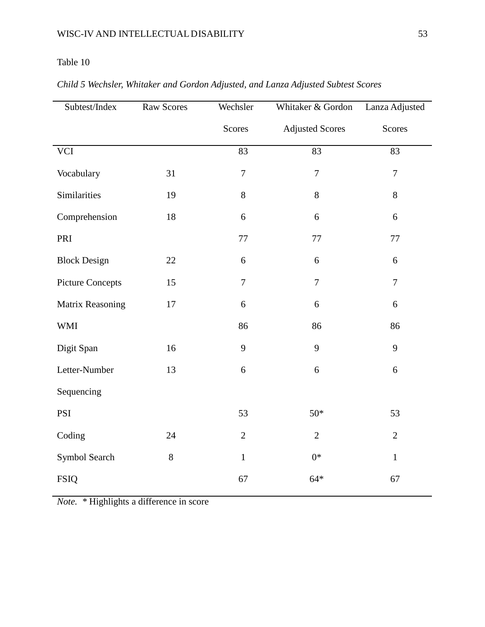| Subtest/Index           | Raw Scores | Wechsler         | Whitaker & Gordon      | Lanza Adjusted   |
|-------------------------|------------|------------------|------------------------|------------------|
|                         |            | Scores           | <b>Adjusted Scores</b> | Scores           |
| <b>VCI</b>              |            | 83               | 83                     | 83               |
| Vocabulary              | 31         | $\boldsymbol{7}$ | $\overline{7}$         | $\overline{7}$   |
| Similarities            | 19         | 8                | 8                      | $8\,$            |
| Comprehension           | 18         | 6                | 6                      | 6                |
| PRI                     |            | 77               | 77                     | $77\,$           |
| <b>Block Design</b>     | 22         | 6                | 6                      | $6\,$            |
| <b>Picture Concepts</b> | 15         | $\overline{7}$   | $\tau$                 | $\boldsymbol{7}$ |
| Matrix Reasoning        | 17         | 6                | 6                      | $\sqrt{6}$       |
| <b>WMI</b>              |            | 86               | 86                     | 86               |
| Digit Span              | 16         | 9                | 9                      | 9                |
| Letter-Number           | 13         | 6                | 6                      | 6                |
| Sequencing              |            |                  |                        |                  |
| PSI                     |            | 53               | $50*$                  | 53               |
| Coding                  | 24         | $\mathbf{2}$     | $\overline{2}$         | $\overline{2}$   |
| Symbol Search           | $8\,$      | $\mathbf{1}$     | $0*$                   | $\mathbf{1}$     |
| <b>FSIQ</b>             |            | 67               | $64*$                  | 67               |

# *Child 5 Wechsler, Whitaker and Gordon Adjusted, and Lanza Adjusted Subtest Scores*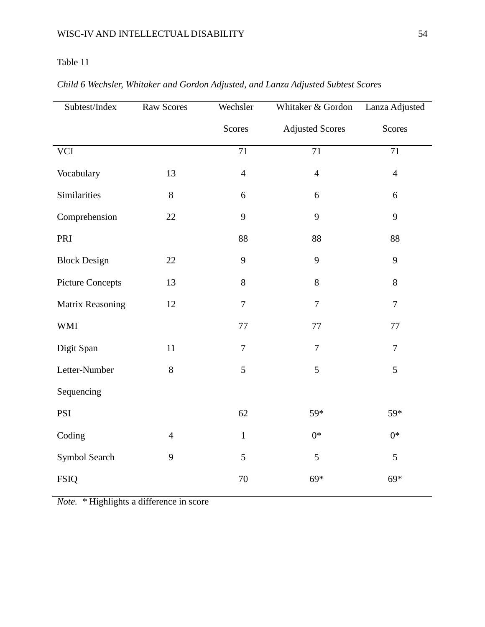| Subtest/Index           | Raw Scores     | Wechsler<br>Whitaker & Gordon |                        | Lanza Adjusted |
|-------------------------|----------------|-------------------------------|------------------------|----------------|
|                         |                | Scores                        | <b>Adjusted Scores</b> | Scores         |
| <b>VCI</b>              |                | 71                            | 71                     | 71             |
| Vocabulary              | 13             | $\overline{4}$                | $\overline{4}$         | $\overline{4}$ |
| Similarities            | 8              | 6                             | 6                      | 6              |
| Comprehension           | $22\,$         | 9                             | 9                      | 9              |
| PRI                     |                | 88                            | 88                     | 88             |
| <b>Block Design</b>     | $22\,$         | 9                             | 9                      | 9              |
| <b>Picture Concepts</b> | 13             | 8                             | 8                      | 8              |
| Matrix Reasoning        | 12             | $\tau$                        | $\tau$                 | $\tau$         |
| <b>WMI</b>              |                | 77                            | 77                     | 77             |
| Digit Span              | 11             | $\tau$                        | $\overline{7}$         | $\overline{7}$ |
| Letter-Number           | 8              | 5                             | 5                      | 5              |
| Sequencing              |                |                               |                        |                |
| PSI                     |                | 62                            | 59*                    | 59*            |
| Coding                  | $\overline{4}$ | $\mathbf{1}$                  | $0*$                   | $0*$           |
| Symbol Search           | 9              | 5                             | 5                      | 5              |
| <b>FSIQ</b>             |                | 70                            | 69*                    | $69*$          |

# *Child 6 Wechsler, Whitaker and Gordon Adjusted, and Lanza Adjusted Subtest Scores*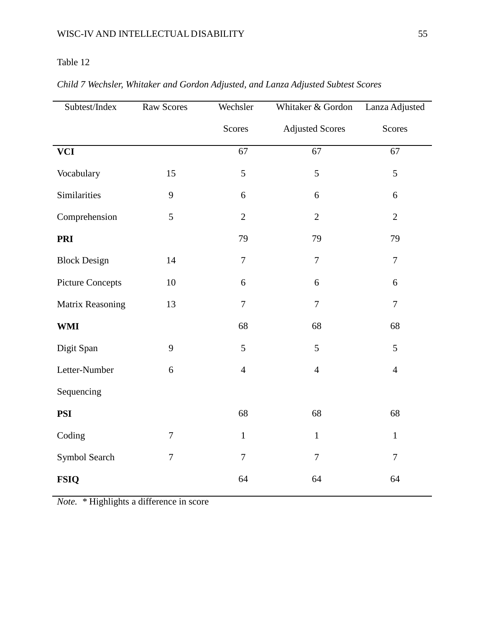| Subtest/Index           | Raw Scores     | Wechsler<br>Whitaker & Gordon |                        | Lanza Adjusted   |
|-------------------------|----------------|-------------------------------|------------------------|------------------|
|                         |                | Scores                        | <b>Adjusted Scores</b> | Scores           |
| <b>VCI</b>              |                | 67                            | 67                     | 67               |
| Vocabulary              | 15             | 5                             | 5                      | 5                |
| Similarities            | 9              | 6                             | 6                      | $\boldsymbol{6}$ |
| Comprehension           | 5              | $\overline{2}$                | $\overline{2}$         | $\overline{2}$   |
| <b>PRI</b>              |                | 79                            | 79                     | 79               |
| <b>Block Design</b>     | 14             | $\tau$                        | $\tau$                 | $\overline{7}$   |
| <b>Picture Concepts</b> | 10             | 6                             | 6                      | $\boldsymbol{6}$ |
| Matrix Reasoning        | 13             | $\overline{7}$                | $\tau$                 | $\overline{7}$   |
| <b>WMI</b>              |                | 68                            | 68                     | 68               |
| Digit Span              | 9              | 5                             | 5                      | 5                |
| Letter-Number           | $6\,$          | $\overline{4}$                | $\overline{4}$         | $\overline{4}$   |
| Sequencing              |                |                               |                        |                  |
| <b>PSI</b>              |                | 68                            | 68                     | 68               |
| Coding                  | $\overline{7}$ | $\mathbf{1}$                  | $\mathbf{1}$           | $\mathbf{1}$     |
| Symbol Search           | $\tau$         | $\overline{7}$                | $\overline{7}$         | $\overline{7}$   |
| <b>FSIQ</b>             |                | 64                            | 64                     | 64               |

# *Child 7 Wechsler, Whitaker and Gordon Adjusted, and Lanza Adjusted Subtest Scores*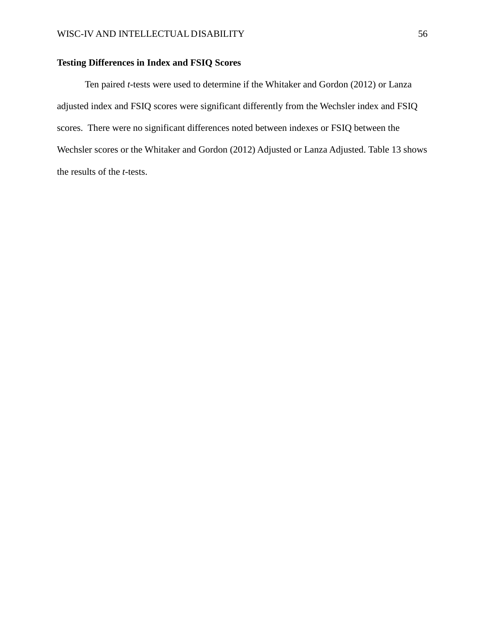### **Testing Differences in Index and FSIQ Scores**

Ten paired *t*-tests were used to determine if the Whitaker and Gordon (2012) or Lanza adjusted index and FSIQ scores were significant differently from the Wechsler index and FSIQ scores. There were no significant differences noted between indexes or FSIQ between the Wechsler scores or the Whitaker and Gordon (2012) Adjusted or Lanza Adjusted. Table 13 shows the results of the *t-*tests.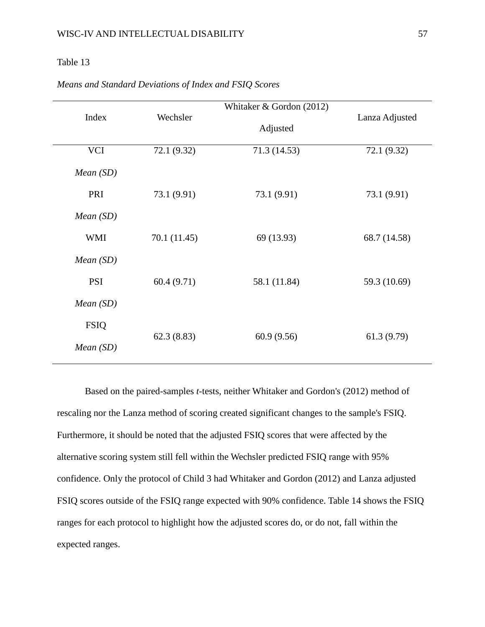| Index       |              | Whitaker $& Gordon (2012)$ | Lanza Adjusted |  |
|-------------|--------------|----------------------------|----------------|--|
|             | Wechsler     | Adjusted                   |                |  |
| <b>VCI</b>  | 72.1 (9.32)  | 71.3(14.53)                | 72.1 (9.32)    |  |
| Mean(SD)    |              |                            |                |  |
| PRI         | 73.1 (9.91)  | 73.1 (9.91)                | 73.1 (9.91)    |  |
| Mean(SD)    |              |                            |                |  |
| <b>WMI</b>  | 70.1 (11.45) | 69 (13.93)                 | 68.7 (14.58)   |  |
| Mean(SD)    |              |                            |                |  |
| <b>PSI</b>  | 60.4(9.71)   | 58.1 (11.84)               | 59.3 (10.69)   |  |
| Mean(SD)    |              |                            |                |  |
| <b>FSIQ</b> |              |                            |                |  |
| Mean(SD)    | 62.3(8.83)   | 60.9(9.56)                 | 61.3(9.79)     |  |

*Means and Standard Deviations of Index and FSIQ Scores* 

Based on the paired-samples *t*-tests, neither Whitaker and Gordon's (2012) method of rescaling nor the Lanza method of scoring created significant changes to the sample's FSIQ. Furthermore, it should be noted that the adjusted FSIQ scores that were affected by the alternative scoring system still fell within the Wechsler predicted FSIQ range with 95% confidence. Only the protocol of Child 3 had Whitaker and Gordon (2012) and Lanza adjusted FSIQ scores outside of the FSIQ range expected with 90% confidence. Table 14 shows the FSIQ ranges for each protocol to highlight how the adjusted scores do, or do not, fall within the expected ranges.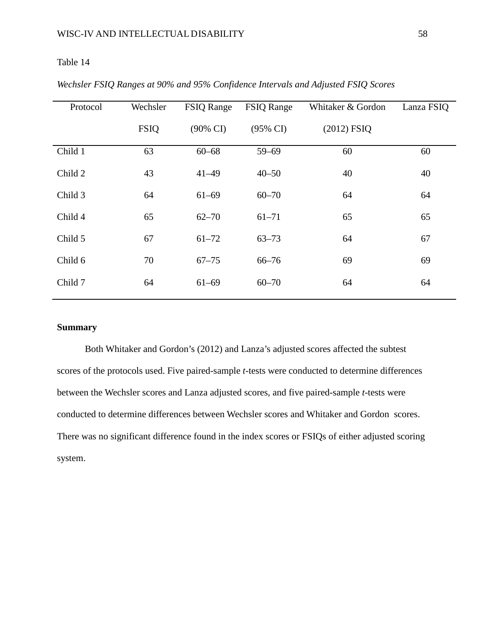| Protocol | Wechsler    | <b>FSIQ Range</b>   | <b>FSIQ Range</b>   | Whitaker & Gordon | Lanza FSIQ |
|----------|-------------|---------------------|---------------------|-------------------|------------|
|          | <b>FSIQ</b> | $(90\% \text{ CI})$ | $(95\% \text{ CI})$ | $(2012)$ FSIQ     |            |
| Child 1  | 63          | $60 - 68$           | $59 - 69$           | 60                | 60         |
| Child 2  | 43          | $41 - 49$           | $40 - 50$           | 40                | 40         |
| Child 3  | 64          | $61 - 69$           | $60 - 70$           | 64                | 64         |
| Child 4  | 65          | $62 - 70$           | $61 - 71$           | 65                | 65         |
| Child 5  | 67          | $61 - 72$           | $63 - 73$           | 64                | 67         |
| Child 6  | 70          | $67 - 75$           | $66 - 76$           | 69                | 69         |
| Child 7  | 64          | $61 - 69$           | $60 - 70$           | 64                | 64         |

*Wechsler FSIQ Ranges at 90% and 95% Confidence Intervals and Adjusted FSIQ Scores*

### **Summary**

Both Whitaker and Gordon's (2012) and Lanza's adjusted scores affected the subtest scores of the protocols used. Five paired-sample *t*-tests were conducted to determine differences between the Wechsler scores and Lanza adjusted scores, and five paired-sample *t*-tests were conducted to determine differences between Wechsler scores and Whitaker and Gordon scores. There was no significant difference found in the index scores or FSIQs of either adjusted scoring system.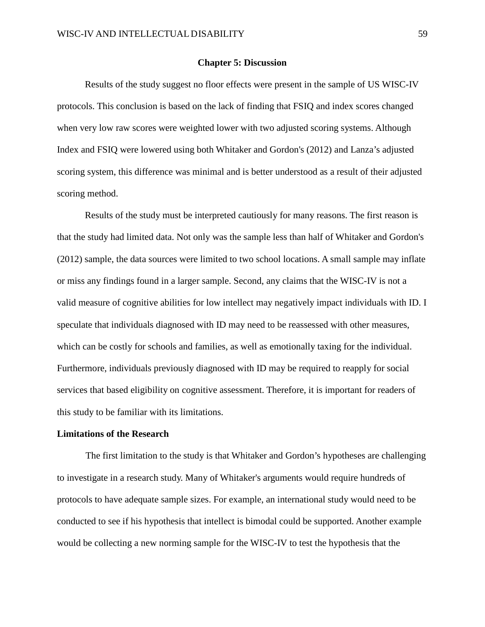#### **Chapter 5: Discussion**

Results of the study suggest no floor effects were present in the sample of US WISC-IV protocols. This conclusion is based on the lack of finding that FSIQ and index scores changed when very low raw scores were weighted lower with two adjusted scoring systems. Although Index and FSIQ were lowered using both Whitaker and Gordon's (2012) and Lanza's adjusted scoring system, this difference was minimal and is better understood as a result of their adjusted scoring method.

Results of the study must be interpreted cautiously for many reasons. The first reason is that the study had limited data. Not only was the sample less than half of Whitaker and Gordon's (2012) sample, the data sources were limited to two school locations. A small sample may inflate or miss any findings found in a larger sample. Second, any claims that the WISC-IV is not a valid measure of cognitive abilities for low intellect may negatively impact individuals with ID. I speculate that individuals diagnosed with ID may need to be reassessed with other measures, which can be costly for schools and families, as well as emotionally taxing for the individual. Furthermore, individuals previously diagnosed with ID may be required to reapply for social services that based eligibility on cognitive assessment. Therefore, it is important for readers of this study to be familiar with its limitations.

#### **Limitations of the Research**

The first limitation to the study is that Whitaker and Gordon's hypotheses are challenging to investigate in a research study. Many of Whitaker's arguments would require hundreds of protocols to have adequate sample sizes. For example, an international study would need to be conducted to see if his hypothesis that intellect is bimodal could be supported. Another example would be collecting a new norming sample for the WISC-IV to test the hypothesis that the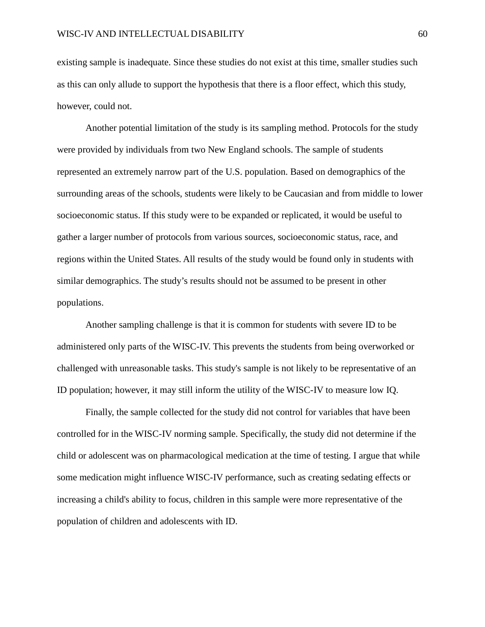existing sample is inadequate. Since these studies do not exist at this time, smaller studies such as this can only allude to support the hypothesis that there is a floor effect, which this study, however, could not.

Another potential limitation of the study is its sampling method. Protocols for the study were provided by individuals from two New England schools. The sample of students represented an extremely narrow part of the U.S. population. Based on demographics of the surrounding areas of the schools, students were likely to be Caucasian and from middle to lower socioeconomic status. If this study were to be expanded or replicated, it would be useful to gather a larger number of protocols from various sources, socioeconomic status, race, and regions within the United States. All results of the study would be found only in students with similar demographics. The study's results should not be assumed to be present in other populations.

Another sampling challenge is that it is common for students with severe ID to be administered only parts of the WISC-IV. This prevents the students from being overworked or challenged with unreasonable tasks. This study's sample is not likely to be representative of an ID population; however, it may still inform the utility of the WISC-IV to measure low IQ.

Finally, the sample collected for the study did not control for variables that have been controlled for in the WISC-IV norming sample. Specifically, the study did not determine if the child or adolescent was on pharmacological medication at the time of testing. I argue that while some medication might influence WISC-IV performance, such as creating sedating effects or increasing a child's ability to focus, children in this sample were more representative of the population of children and adolescents with ID.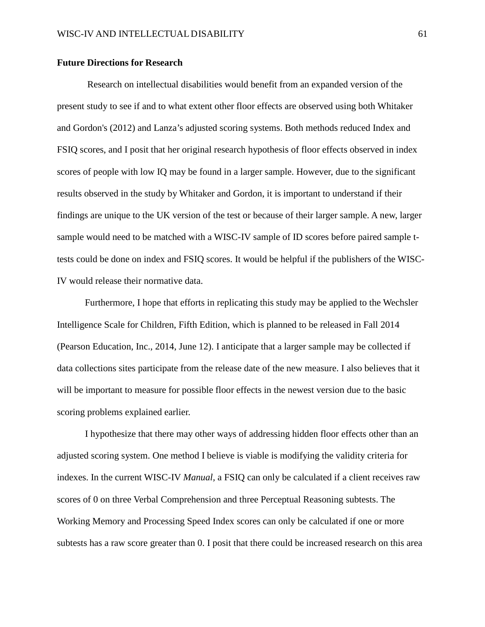### **Future Directions for Research**

Research on intellectual disabilities would benefit from an expanded version of the present study to see if and to what extent other floor effects are observed using both Whitaker and Gordon's (2012) and Lanza's adjusted scoring systems. Both methods reduced Index and FSIQ scores, and I posit that her original research hypothesis of floor effects observed in index scores of people with low IQ may be found in a larger sample. However, due to the significant results observed in the study by Whitaker and Gordon, it is important to understand if their findings are unique to the UK version of the test or because of their larger sample. A new, larger sample would need to be matched with a WISC-IV sample of ID scores before paired sample ttests could be done on index and FSIQ scores. It would be helpful if the publishers of the WISC-IV would release their normative data.

Furthermore, I hope that efforts in replicating this study may be applied to the Wechsler Intelligence Scale for Children, Fifth Edition, which is planned to be released in Fall 2014 (Pearson Education, Inc., 2014, June 12). I anticipate that a larger sample may be collected if data collections sites participate from the release date of the new measure. I also believes that it will be important to measure for possible floor effects in the newest version due to the basic scoring problems explained earlier.

I hypothesize that there may other ways of addressing hidden floor effects other than an adjusted scoring system. One method I believe is viable is modifying the validity criteria for indexes. In the current WISC-IV *Manual,* a FSIQ can only be calculated if a client receives raw scores of 0 on three Verbal Comprehension and three Perceptual Reasoning subtests. The Working Memory and Processing Speed Index scores can only be calculated if one or more subtests has a raw score greater than 0. I posit that there could be increased research on this area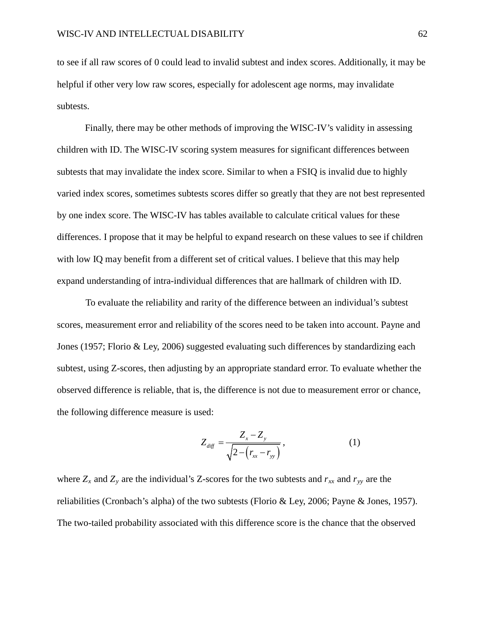to see if all raw scores of 0 could lead to invalid subtest and index scores. Additionally, it may be helpful if other very low raw scores, especially for adolescent age norms, may invalidate subtests.

Finally, there may be other methods of improving the WISC-IV's validity in assessing children with ID. The WISC-IV scoring system measures for significant differences between subtests that may invalidate the index score. Similar to when a FSIQ is invalid due to highly varied index scores, sometimes subtests scores differ so greatly that they are not best represented by one index score. The WISC-IV has tables available to calculate critical values for these differences. I propose that it may be helpful to expand research on these values to see if children with low IQ may benefit from a different set of critical values. I believe that this may help expand understanding of intra-individual differences that are hallmark of children with ID.

To evaluate the reliability and rarity of the difference between an individual's subtest scores, measurement error and reliability of the scores need to be taken into account. Payne and Jones (1957; Florio & Ley, 2006) suggested evaluating such differences by standardizing each subtest, using Z-scores, then adjusting by an appropriate standard error. To evaluate whether the observed difference is reliable, that is, the difference is not due to measurement error or chance, the following difference measure is used:

$$
Z_{\text{diff}} = \frac{Z_x - Z_y}{\sqrt{2 - (r_{xx} - r_{yy})}},
$$
 (1)

where  $Z_x$  and  $Z_y$  are the individual's Z-scores for the two subtests and  $r_{xx}$  and  $r_{yy}$  are the reliabilities (Cronbach's alpha) of the two subtests (Florio & Ley, 2006; Payne & Jones, 1957). The two-tailed probability associated with this difference score is the chance that the observed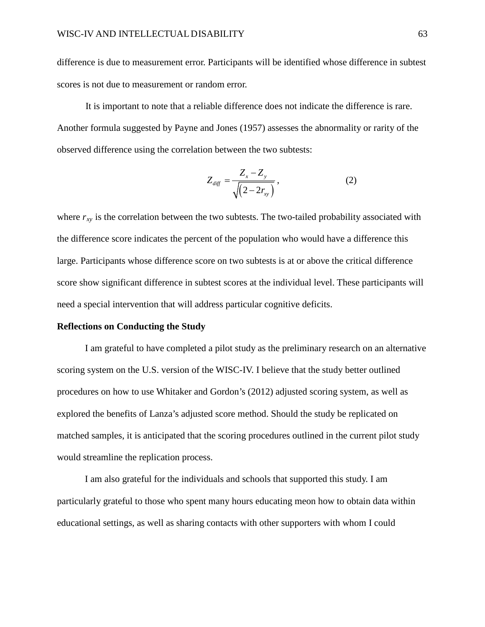difference is due to measurement error. Participants will be identified whose difference in subtest scores is not due to measurement or random error.

It is important to note that a reliable difference does not indicate the difference is rare. Another formula suggested by Payne and Jones (1957) assesses the abnormality or rarity of the observed difference using the correlation between the two subtests:

$$
Z_{\text{diff}} = \frac{Z_x - Z_y}{\sqrt{(2 - 2r_{xy})}},
$$
 (2)

where  $r_{xy}$  is the correlation between the two subtests. The two-tailed probability associated with the difference score indicates the percent of the population who would have a difference this large. Participants whose difference score on two subtests is at or above the critical difference score show significant difference in subtest scores at the individual level. These participants will need a special intervention that will address particular cognitive deficits.

#### **Reflections on Conducting the Study**

I am grateful to have completed a pilot study as the preliminary research on an alternative scoring system on the U.S. version of the WISC-IV. I believe that the study better outlined procedures on how to use Whitaker and Gordon's (2012) adjusted scoring system, as well as explored the benefits of Lanza's adjusted score method. Should the study be replicated on matched samples, it is anticipated that the scoring procedures outlined in the current pilot study would streamline the replication process.

I am also grateful for the individuals and schools that supported this study. I am particularly grateful to those who spent many hours educating meon how to obtain data within educational settings, as well as sharing contacts with other supporters with whom I could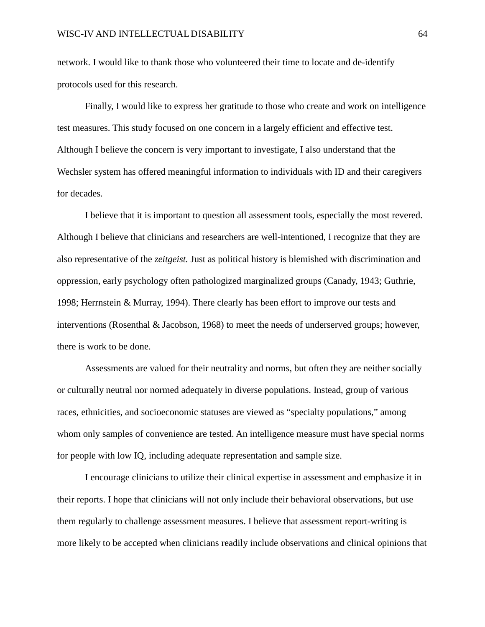network. I would like to thank those who volunteered their time to locate and de-identify protocols used for this research.

Finally, I would like to express her gratitude to those who create and work on intelligence test measures. This study focused on one concern in a largely efficient and effective test. Although I believe the concern is very important to investigate, I also understand that the Wechsler system has offered meaningful information to individuals with ID and their caregivers for decades.

I believe that it is important to question all assessment tools, especially the most revered. Although I believe that clinicians and researchers are well-intentioned, I recognize that they are also representative of the *zeitgeist.* Just as political history is blemished with discrimination and oppression, early psychology often pathologized marginalized groups (Canady, 1943; Guthrie, 1998; Herrnstein & Murray, 1994). There clearly has been effort to improve our tests and interventions (Rosenthal & Jacobson, 1968) to meet the needs of underserved groups; however, there is work to be done.

Assessments are valued for their neutrality and norms, but often they are neither socially or culturally neutral nor normed adequately in diverse populations. Instead, group of various races, ethnicities, and socioeconomic statuses are viewed as "specialty populations," among whom only samples of convenience are tested. An intelligence measure must have special norms for people with low IQ, including adequate representation and sample size.

I encourage clinicians to utilize their clinical expertise in assessment and emphasize it in their reports. I hope that clinicians will not only include their behavioral observations, but use them regularly to challenge assessment measures. I believe that assessment report-writing is more likely to be accepted when clinicians readily include observations and clinical opinions that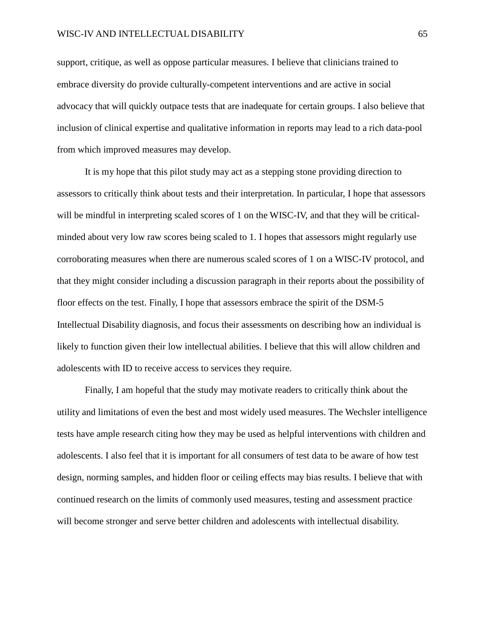support, critique, as well as oppose particular measures. I believe that clinicians trained to embrace diversity do provide culturally-competent interventions and are active in social advocacy that will quickly outpace tests that are inadequate for certain groups. I also believe that inclusion of clinical expertise and qualitative information in reports may lead to a rich data-pool from which improved measures may develop.

It is my hope that this pilot study may act as a stepping stone providing direction to assessors to critically think about tests and their interpretation. In particular, I hope that assessors will be mindful in interpreting scaled scores of 1 on the WISC-IV, and that they will be criticalminded about very low raw scores being scaled to 1. I hopes that assessors might regularly use corroborating measures when there are numerous scaled scores of 1 on a WISC-IV protocol, and that they might consider including a discussion paragraph in their reports about the possibility of floor effects on the test. Finally, I hope that assessors embrace the spirit of the DSM-5 Intellectual Disability diagnosis, and focus their assessments on describing how an individual is likely to function given their low intellectual abilities. I believe that this will allow children and adolescents with ID to receive access to services they require.

Finally, I am hopeful that the study may motivate readers to critically think about the utility and limitations of even the best and most widely used measures. The Wechsler intelligence tests have ample research citing how they may be used as helpful interventions with children and adolescents. I also feel that it is important for all consumers of test data to be aware of how test design, norming samples, and hidden floor or ceiling effects may bias results. I believe that with continued research on the limits of commonly used measures, testing and assessment practice will become stronger and serve better children and adolescents with intellectual disability.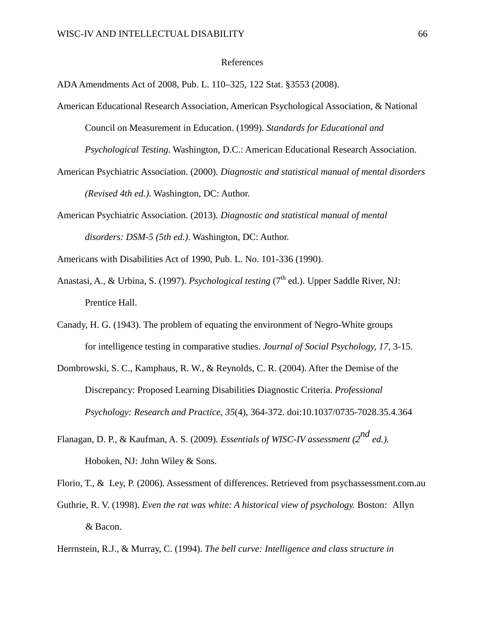#### References

ADA Amendments Act of 2008, Pub. L. 110–325, 122 Stat. §3553 (2008).

American Educational Research Association, American Psychological Association, & National Council on Measurement in Education. (1999). *Standards for Educational and* 

*Psychological Testing.* Washington, D.C.: American Educational Research Association.

- American Psychiatric Association. (2000). *Diagnostic and statistical manual of mental disorders (Revised 4th ed.)*. Washington, DC: Author.
- American Psychiatric Association. (2013). *Diagnostic and statistical manual of mental disorders: DSM-5 (5th ed.)*. Washington, DC: Author.

Americans with Disabilities Act of 1990, Pub. L. No. 101-336 (1990).

- Anastasi, A., & Urbina, S. (1997). *Psychological testing* (7<sup>th</sup> ed.). Upper Saddle River, NJ: Prentice Hall.
- Canady, H. G. (1943). The problem of equating the environment of Negro-White groups for intelligence testing in comparative studies. *Journal of Social Psychology, 17*, 3-15.
- Dombrowski, S. C., Kamphaus, R. W., & Reynolds, C. R. (2004). After the Demise of the Discrepancy: Proposed Learning Disabilities Diagnostic Criteria. *Professional Psychology: Research and Practice, 35*(4), 364-372. doi:10.1037/0735-7028.35.4.364
- Flanagan, D. P., & Kaufman, A. S. (2009). *Essentials of WISC-IV assessment (2nd ed.).* Hoboken, NJ: John Wiley & Sons.

Florio, T., & Ley, P. (2006). Assessment of differences. Retrieved from psychassessment.com.au

Guthrie, R. V. (1998). *Even the rat was white: A historical view of psychology*. Boston: Allyn & Bacon.

Herrnstein, R.J., & Murray, C. (1994). *The bell curve: Intelligence and class structure in*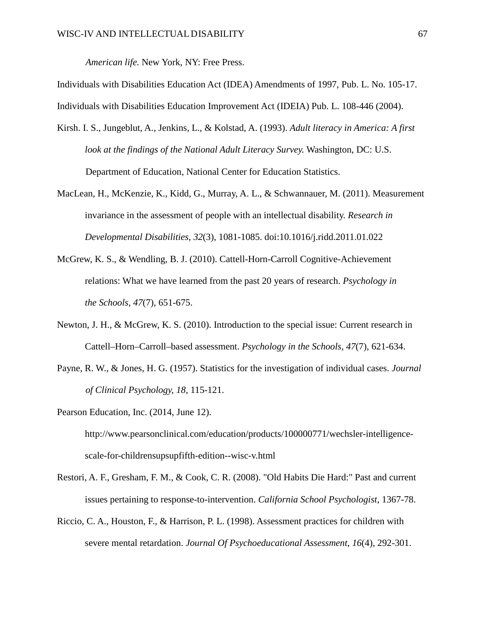*American life.* New York, NY: Free Press.

Individuals with Disabilities Education Act (IDEA) Amendments of 1997, Pub. L. No. 105-17. Individuals with Disabilities Education Improvement Act (IDEIA) Pub. L. 108-446 (2004).

- Kirsh. I. S., Jungeblut, A., Jenkins, L., & Kolstad, A. (1993). *Adult literacy in America: A first look at the findings of the National Adult Literacy Survey.* Washington, DC: U.S. Department of Education, National Center for Education Statistics.
- MacLean, H., McKenzie, K., Kidd, G., Murray, A. L., & Schwannauer, M. (2011). Measurement invariance in the assessment of people with an intellectual disability. *Research in Developmental Disabilities*, *32*(3), 1081-1085. doi:10.1016/j.ridd.2011.01.022
- McGrew, K. S., & Wendling, B. J. (2010). Cattell-Horn-Carroll Cognitive-Achievement relations: What we have learned from the past 20 years of research. *Psychology in the Schools, 47*(7), 651-675.
- Newton, J. H., & McGrew, K. S. (2010). Introduction to the special issue: Current research in Cattell–Horn–Carroll–based assessment. *Psychology in the Schools, 47*(7), 621-634.
- Payne, R. W., & Jones, H. G. (1957). Statistics for the investigation of individual cases. *Journal of Clinical Psychology, 18*, 115-121.
- Pearson Education, Inc. (2014, June 12). http://www.pearsonclinical.com/education/products/100000771/wechsler-intelligencescale-for-childrensupsupfifth-edition--wisc-v.html
- Restori, A. F., Gresham, F. M., & Cook, C. R. (2008). "Old Habits Die Hard:" Past and current issues pertaining to response-to-intervention. *California School Psychologist*, 1367-78.
- Riccio, C. A., Houston, F., & Harrison, P. L. (1998). Assessment practices for children with severe mental retardation. *Journal Of Psychoeducational Assessment*, *16*(4), 292-301.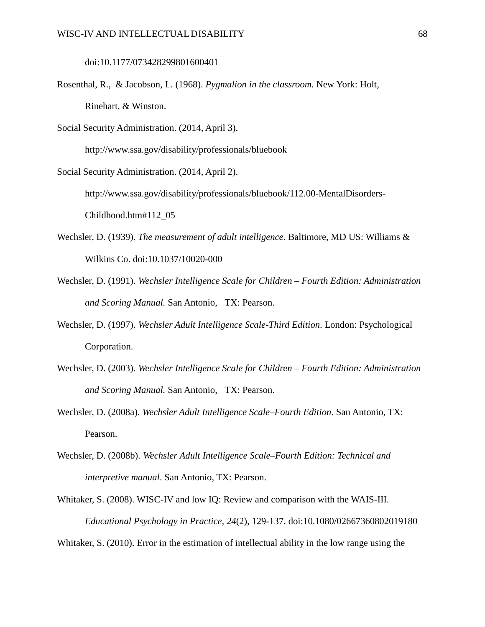doi:10.1177/073428299801600401

- Rosenthal, R., & Jacobson, L. (1968). *Pygmalion in the classroom.* New York: Holt, Rinehart, & Winston.
- Social Security Administration. (2014, April 3).

http://www.ssa.gov/disability/professionals/bluebook

Social Security Administration. (2014, April 2).

http://www.ssa.gov/disability/professionals/bluebook/112.00-MentalDisorders-

Childhood.htm#112\_05

- Wechsler, D. (1939). *The measurement of adult intelligence*. Baltimore, MD US: Williams & Wilkins Co. doi:10.1037/10020-000
- Wechsler, D. (1991). *Wechsler Intelligence Scale for Children – Fourth Edition: Administration and Scoring Manual.* San Antonio, TX: Pearson.
- Wechsler, D. (1997). *Wechsler Adult Intelligence Scale-Third Edition*. London: Psychological Corporation.
- Wechsler, D. (2003). *Wechsler Intelligence Scale for Children – Fourth Edition: Administration and Scoring Manual.* San Antonio, TX: Pearson.
- Wechsler, D. (2008a). *Wechsler Adult Intelligence Scale–Fourth Edition*. San Antonio, TX: Pearson.
- Wechsler, D. (2008b). *Wechsler Adult Intelligence Scale–Fourth Edition: Technical and interpretive manual*. San Antonio, TX: Pearson.
- Whitaker, S. (2008). WISC-IV and low IQ: Review and comparison with the WAIS-III. *Educational Psychology in Practice, 24*(2), 129-137. doi:10.1080/02667360802019180

Whitaker, S. (2010). Error in the estimation of intellectual ability in the low range using the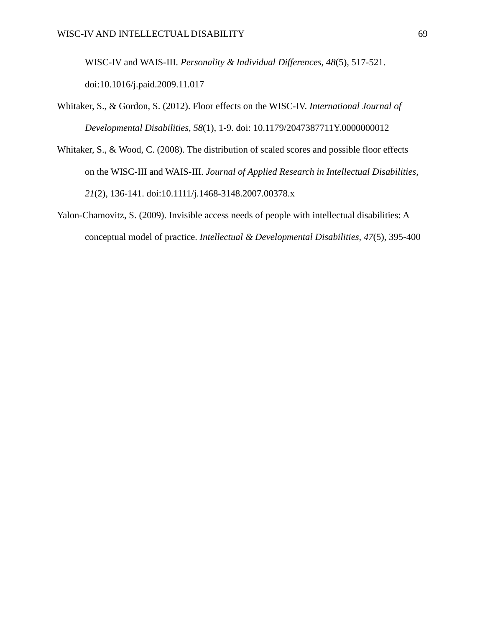WISC-IV and WAIS-III. *Personality & Individual Differences, 48*(5), 517-521. doi:10.1016/j.paid.2009.11.017

- Whitaker, S., & Gordon, S. (2012). Floor effects on the WISC-IV. *International Journal of Developmental Disabilities, 58*(1), 1-9. doi: 10.1179/2047387711Y.0000000012
- Whitaker, S., & Wood, C. (2008). The distribution of scaled scores and possible floor effects on the WISC-III and WAIS-III. *Journal of Applied Research in Intellectual Disabilities, 21*(2), 136-141. doi:10.1111/j.1468-3148.2007.00378.x
- Yalon-Chamovitz, S. (2009). Invisible access needs of people with intellectual disabilities: A conceptual model of practice. *Intellectual & Developmental Disabilities, 47*(5), 395-400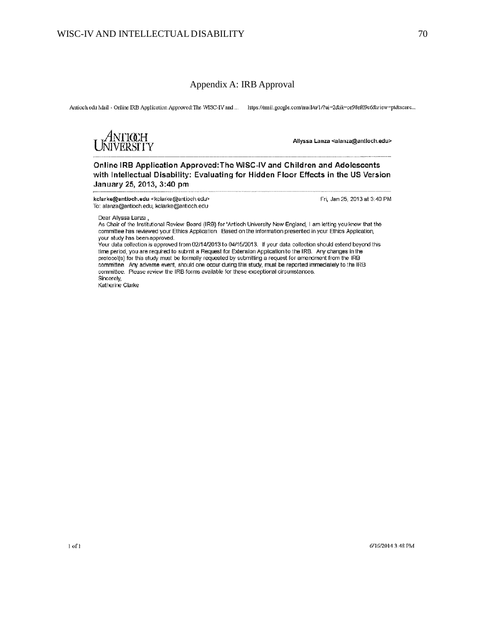### Appendix A: IRB Approval

Antioch edu Mail - Online IRB Application Approved: The WISC-IV and ... https://mail.google.com/mail/u/1/?ui=2&ik=ce98ef69c6&view=pt&scarc...

4NTIŒH<br>jiversity

Allyssa Lanza <alanza@antioch.edu>

Online IRB Application Approved: The WISC-IV and Children and Adolescents with Intellectual Disability: Evaluating for Hidden Floor Effects in the US Version January 25, 2013, 3:40 pm

kclarke@antioch.edu <kclarke@artiochedu> To: alanza@antioch.edu, kclarke@antioch.edu

Fri, Jan 25, 2013 at 3:40 PM

Dear Allyssa Lanza,

As Chair of the Institutional Review Board (IRB) for 'Antioch University New England, I am letting you know that the committee has reviewed your Ethics Application. Based on the information presented in your Ethics Application, your study has been approved.

Your data collection is approved from 02/14/2013 to 04/15/2013. If your data collection should extend beyond this time period, you are required to submit a Request for Extension Application to the IRB. Any changes in the protocol(s) for this study must be formally requested by submitting a request for amendment from the IRB committee. Any adverse event, should one occur during this study, must be reported immediately to the IRB committee. Please review the IRB forms available for these exceptional circumstances. Sincerely,

Katherine Clarke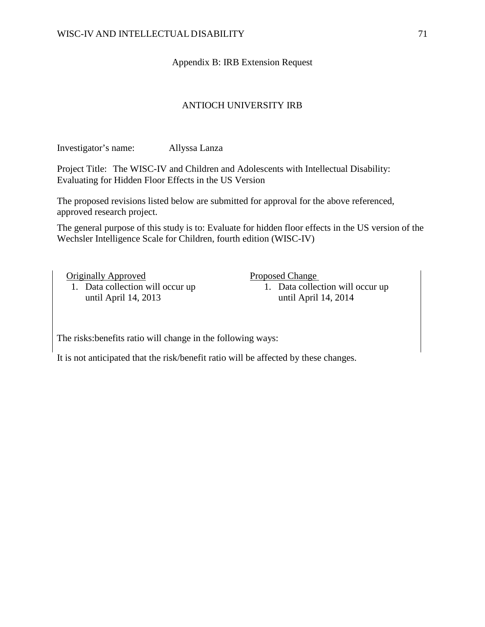## Appendix B: IRB Extension Request

## ANTIOCH UNIVERSITY IRB

Investigator's name: Allyssa Lanza

Project Title: The WISC-IV and Children and Adolescents with Intellectual Disability: Evaluating for Hidden Floor Effects in the US Version

The proposed revisions listed below are submitted for approval for the above referenced, approved research project.

The general purpose of this study is to: Evaluate for hidden floor effects in the US version of the Wechsler Intelligence Scale for Children, fourth edition (WISC-IV)

Originally Approved

1. Data collection will occur up until April 14, 2013

Proposed Change

1. Data collection will occur up until April 14, 2014

The risks:benefits ratio will change in the following ways:

It is not anticipated that the risk/benefit ratio will be affected by these changes.